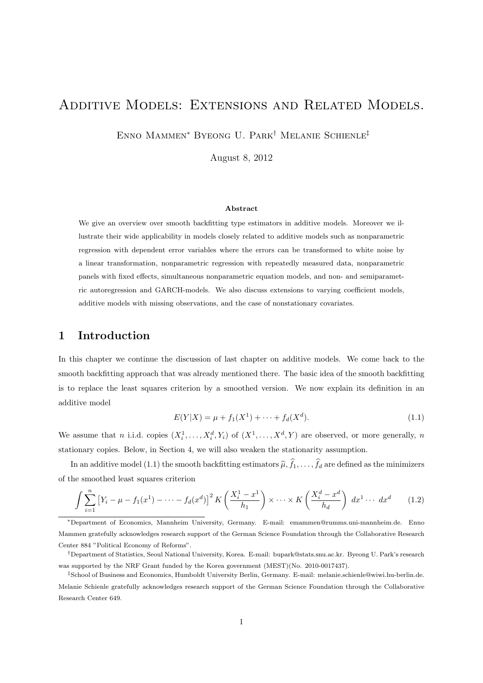# Additive Models: Extensions and Related Models.

Enno Mammen<sup>∗</sup> Byeong U. Park† Melanie Schienle‡

August 8, 2012

#### Abstract

We give an overview over smooth backfitting type estimators in additive models. Moreover we illustrate their wide applicability in models closely related to additive models such as nonparametric regression with dependent error variables where the errors can be transformed to white noise by a linear transformation, nonparametric regression with repeatedly measured data, nonparametric panels with fixed effects, simultaneous nonparametric equation models, and non- and semiparametric autoregression and GARCH-models. We also discuss extensions to varying coefficient models, additive models with missing observations, and the case of nonstationary covariates.

# 1 Introduction

In this chapter we continue the discussion of last chapter on additive models. We come back to the smooth backfitting approach that was already mentioned there. The basic idea of the smooth backfitting is to replace the least squares criterion by a smoothed version. We now explain its definition in an additive model

$$
E(Y|X) = \mu + f_1(X^1) + \dots + f_d(X^d). \tag{1.1}
$$

We assume that n i.i.d. copies  $(X_i^1, \ldots, X_i^d, Y_i)$  of  $(X^1, \ldots, X^d, Y)$  are observed, or more generally, n stationary copies. Below, in Section 4, we will also weaken the stationarity assumption.

In an additive model (1.1) the smooth backfitting estimators  $\hat{\mu}, \hat{f}_1, \dots, \hat{f}_d$  are defined as the minimizers of the smoothed least squares criterion

$$
\int \sum_{i=1}^{n} \left[ Y_i - \mu - f_1(x^1) - \dots - f_d(x^d) \right]^2 K \left( \frac{X_i^1 - x^1}{h_1} \right) \times \dots \times K \left( \frac{X_i^d - x^d}{h_d} \right) dx^1 \dots dx^d \qquad (1.2)
$$

<sup>∗</sup>Department of Economics, Mannheim University, Germany. E-mail: emammen@rumms.uni-mannheim.de. Enno Mammen gratefully acknowledges research support of the German Science Foundation through the Collaborative Research Center 884 "Political Economy of Reforms".

<sup>†</sup>Department of Statistics, Seoul National University, Korea. E-mail: bupark@stats.snu.ac.kr. Byeong U. Park's research was supported by the NRF Grant funded by the Korea government (MEST)(No. 2010-0017437).

<sup>‡</sup>School of Business and Economics, Humboldt University Berlin, Germany. E-mail: melanie.schienle@wiwi.hu-berlin.de. Melanie Schienle gratefully acknowledges research support of the German Science Foundation through the Collaborative Research Center 649.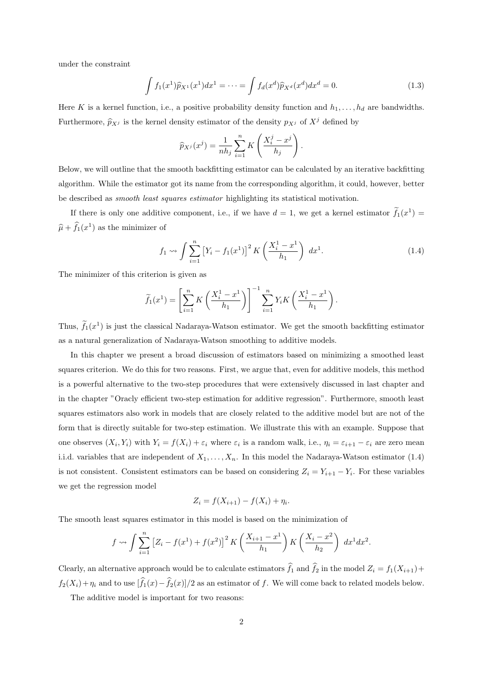under the constraint

$$
\int f_1(x^1)\hat{p}_{X^1}(x^1)dx^1 = \dots = \int f_d(x^d)\hat{p}_{X^d}(x^d)dx^d = 0.
$$
\n(1.3)

Here K is a kernel function, i.e., a positive probability density function and  $h_1, \ldots, h_d$  are bandwidths. Furthermore,  $\hat{p}_{Xj}$  is the kernel density estimator of the density  $p_{Xj}$  of  $X^j$  defined by

$$
\widehat{p}_{X^j}(x^j) = \frac{1}{nh_j} \sum_{i=1}^n K\left(\frac{X_i^j - x^j}{h_j}\right).
$$

Below, we will outline that the smooth backfitting estimator can be calculated by an iterative backfitting algorithm. While the estimator got its name from the corresponding algorithm, it could, however, better be described as smooth least squares estimator highlighting its statistical motivation.

If there is only one additive component, i.e., if we have  $d = 1$ , we get a kernel estimator  $\tilde{f}_1(x^1) =$  $\hat{\mu} + \hat{f}_1(x^1)$  as the minimizer of

$$
f_1 \leadsto \int \sum_{i=1}^n \left[ Y_i - f_1(x^1) \right]^2 K \left( \frac{X_i^1 - x^1}{h_1} \right) \, dx^1. \tag{1.4}
$$

The minimizer of this criterion is given as

$$
\widetilde{f}_1(x^1) = \left[ \sum_{i=1}^n K\left( \frac{X_i^1 - x^1}{h_1} \right) \right]^{-1} \sum_{i=1}^n Y_i K\left( \frac{X_i^1 - x^1}{h_1} \right).
$$

Thus,  $f_1(x^1)$  is just the classical Nadaraya-Watson estimator. We get the smooth backfitting estimator as a natural generalization of Nadaraya-Watson smoothing to additive models.

In this chapter we present a broad discussion of estimators based on minimizing a smoothed least squares criterion. We do this for two reasons. First, we argue that, even for additive models, this method is a powerful alternative to the two-step procedures that were extensively discussed in last chapter and in the chapter "Oracly efficient two-step estimation for additive regression". Furthermore, smooth least squares estimators also work in models that are closely related to the additive model but are not of the form that is directly suitable for two-step estimation. We illustrate this with an example. Suppose that one observes  $(X_i, Y_i)$  with  $Y_i = f(X_i) + \varepsilon_i$  where  $\varepsilon_i$  is a random walk, i.e.,  $\eta_i = \varepsilon_{i+1} - \varepsilon_i$  are zero mean i.i.d. variables that are independent of  $X_1, \ldots, X_n$ . In this model the Nadaraya-Watson estimator (1.4) is not consistent. Consistent estimators can be based on considering  $Z_i = Y_{i+1} - Y_i$ . For these variables we get the regression model

$$
Z_i = f(X_{i+1}) - f(X_i) + \eta_i.
$$

The smooth least squares estimator in this model is based on the minimization of

$$
f \rightsquigarrow \int \sum_{i=1}^{n} \left[ Z_i - f(x^1) + f(x^2) \right]^2 K \left( \frac{X_{i+1} - x^1}{h_1} \right) K \left( \frac{X_i - x^2}{h_2} \right) dx^1 dx^2.
$$

Clearly, an alternative approach would be to calculate estimators  $\hat{f}_1$  and  $\hat{f}_2$  in the model  $Z_i = f_1(X_{i+1}) +$  $f_2(X_i)+\eta_i$  and to use  $[\widehat{f}_1(x)-\widehat{f}_2(x)]/2$  as an estimator of f. We will come back to related models below.

The additive model is important for two reasons: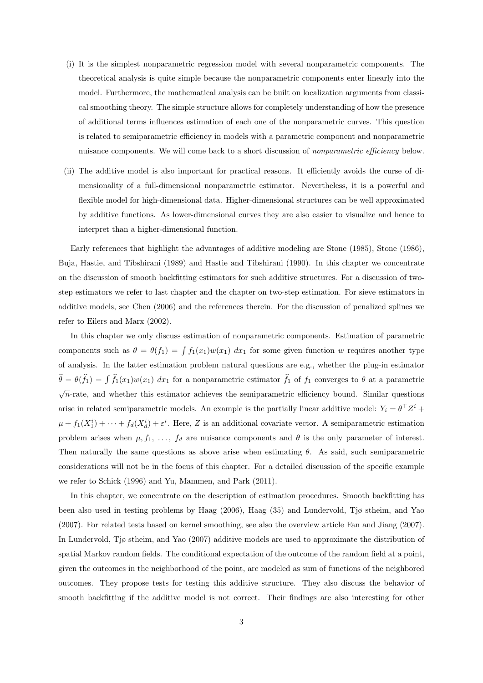- (i) It is the simplest nonparametric regression model with several nonparametric components. The theoretical analysis is quite simple because the nonparametric components enter linearly into the model. Furthermore, the mathematical analysis can be built on localization arguments from classical smoothing theory. The simple structure allows for completely understanding of how the presence of additional terms influences estimation of each one of the nonparametric curves. This question is related to semiparametric efficiency in models with a parametric component and nonparametric nuisance components. We will come back to a short discussion of *nonparametric efficiency* below.
- (ii) The additive model is also important for practical reasons. It efficiently avoids the curse of dimensionality of a full-dimensional nonparametric estimator. Nevertheless, it is a powerful and flexible model for high-dimensional data. Higher-dimensional structures can be well approximated by additive functions. As lower-dimensional curves they are also easier to visualize and hence to interpret than a higher-dimensional function.

Early references that highlight the advantages of additive modeling are Stone (1985), Stone (1986), Buja, Hastie, and Tibshirani (1989) and Hastie and Tibshirani (1990). In this chapter we concentrate on the discussion of smooth backfitting estimators for such additive structures. For a discussion of twostep estimators we refer to last chapter and the chapter on two-step estimation. For sieve estimators in additive models, see Chen (2006) and the references therein. For the discussion of penalized splines we refer to Eilers and Marx (2002).

In this chapter we only discuss estimation of nonparametric components. Estimation of parametric components such as  $\theta = \theta(f_1) = \int f_1(x_1)w(x_1) dx_1$  for some given function w requires another type of analysis. In the latter estimation problem natural questions are e.g., whether the plug-in estimator  $\hat{\theta} = \theta(\hat{f}_1) = \int \hat{f}_1(x_1)w(x_1) dx_1$  for a nonparametric estimator  $\hat{f}_1$  of  $f_1$  converges to  $\theta$  at a parametric  $\sqrt{n}$ -rate, and whether this estimator achieves the semiparametric efficiency bound. Similar questions arise in related semiparametric models. An example is the partially linear additive model:  $Y_i = \theta^\top Z^i$  +  $\mu + f_1(X_1^i) + \cdots + f_d(X_d^i) + \varepsilon^i$ . Here, Z is an additional covariate vector. A semiparametric estimation problem arises when  $\mu$ ,  $f_1$ , ...,  $f_d$  are nuisance components and  $\theta$  is the only parameter of interest. Then naturally the same questions as above arise when estimating  $\theta$ . As said, such semiparametric considerations will not be in the focus of this chapter. For a detailed discussion of the specific example we refer to Schick (1996) and Yu, Mammen, and Park (2011).

In this chapter, we concentrate on the description of estimation procedures. Smooth backfitting has been also used in testing problems by Haag (2006), Haag (35) and Lundervold, Tjø stheim, and Yao (2007). For related tests based on kernel smoothing, see also the overview article Fan and Jiang (2007). In Lundervold, Tjø stheim, and Yao (2007) additive models are used to approximate the distribution of spatial Markov random fields. The conditional expectation of the outcome of the random field at a point, given the outcomes in the neighborhood of the point, are modeled as sum of functions of the neighbored outcomes. They propose tests for testing this additive structure. They also discuss the behavior of smooth backfitting if the additive model is not correct. Their findings are also interesting for other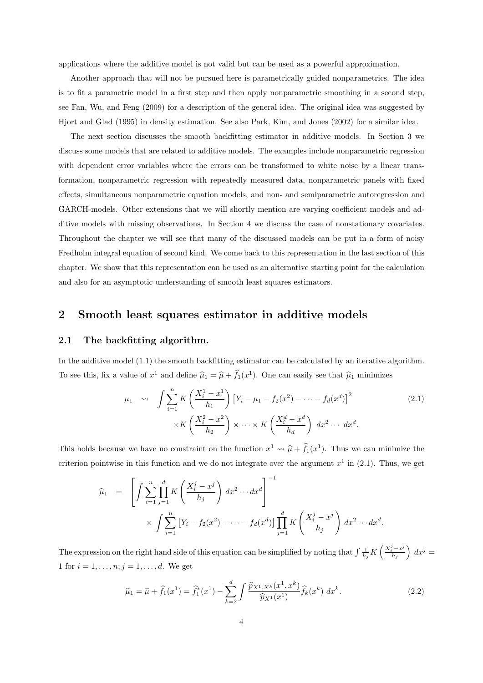applications where the additive model is not valid but can be used as a powerful approximation.

Another approach that will not be pursued here is parametrically guided nonparametrics. The idea is to fit a parametric model in a first step and then apply nonparametric smoothing in a second step, see Fan, Wu, and Feng (2009) for a description of the general idea. The original idea was suggested by Hjort and Glad (1995) in density estimation. See also Park, Kim, and Jones (2002) for a similar idea.

The next section discusses the smooth backfitting estimator in additive models. In Section 3 we discuss some models that are related to additive models. The examples include nonparametric regression with dependent error variables where the errors can be transformed to white noise by a linear transformation, nonparametric regression with repeatedly measured data, nonparametric panels with fixed effects, simultaneous nonparametric equation models, and non- and semiparametric autoregression and GARCH-models. Other extensions that we will shortly mention are varying coefficient models and additive models with missing observations. In Section 4 we discuss the case of nonstationary covariates. Throughout the chapter we will see that many of the discussed models can be put in a form of noisy Fredholm integral equation of second kind. We come back to this representation in the last section of this chapter. We show that this representation can be used as an alternative starting point for the calculation and also for an asymptotic understanding of smooth least squares estimators.

# 2 Smooth least squares estimator in additive models

### 2.1 The backfitting algorithm.

In the additive model (1.1) the smooth backfitting estimator can be calculated by an iterative algorithm. To see this, fix a value of  $x^1$  and define  $\hat{\mu}_1 = \hat{\mu} + \hat{f}_1(x^1)$ . One can easily see that  $\hat{\mu}_1$  minimizes

$$
\mu_1 \quad \leadsto \quad \int \sum_{i=1}^n K\left(\frac{X_i^1 - x^1}{h_1}\right) \left[Y_i - \mu_1 - f_2(x^2) - \dots - f_d(x^d)\right]^2
$$
\n
$$
\times K\left(\frac{X_i^2 - x^2}{h_2}\right) \times \dots \times K\left(\frac{X_i^d - x^d}{h_d}\right) dx^2 \dots dx^d.
$$
\n
$$
(2.1)
$$

This holds because we have no constraint on the function  $x^1 \leadsto \hat{\mu} + \hat{f}_1(x^1)$ . Thus we can minimize the criterion pointwise in this function and we do not integrate over the argument  $x^1$  in (2.1). Thus, we get

$$
\widehat{\mu}_1 = \left[ \int \sum_{i=1}^n \prod_{j=1}^d K\left(\frac{X_i^j - x^j}{h_j}\right) dx^2 \cdots dx^d \right]^{-1} \times \int \sum_{i=1}^n \left[ Y_i - f_2(x^2) - \cdots - f_d(x^d) \right] \prod_{j=1}^d K\left(\frac{X_i^j - x^j}{h_j}\right) dx^2 \cdots dx^d.
$$

The expression on the right hand side of this equation can be simplified by noting that  $\int \frac{1}{h_j} K\left(\frac{X_i^j - x^j}{h_j}\right)$  $\left(\frac{i-x^j}{h_j}\right) dx^j =$ 1 for  $i = 1, ..., n; j = 1, ..., d$ . We get

$$
\widehat{\mu}_1 = \widehat{\mu} + \widehat{f}_1(x^1) = \widehat{f}_1^*(x^1) - \sum_{k=2}^d \int \frac{\widehat{p}_{X^1, X^k}(x^1, x^k)}{\widehat{p}_{X^1}(x^1)} \widehat{f}_k(x^k) dx^k.
$$
\n(2.2)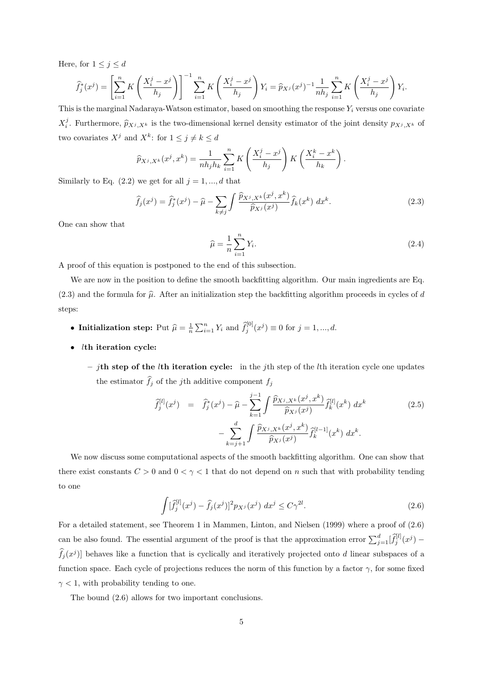Here, for  $1 \leq j \leq d$ 

$$
\widehat{f}_j^*(x^j) = \left[\sum_{i=1}^n K\left(\frac{X_i^j - x^j}{h_j}\right)\right]^{-1} \sum_{i=1}^n K\left(\frac{X_i^j - x^j}{h_j}\right) Y_i = \widehat{p}_{X^j}(x^j)^{-1} \frac{1}{nh_j} \sum_{i=1}^n K\left(\frac{X_i^j - x^j}{h_j}\right) Y_i.
$$

This is the marginal Nadaraya-Watson estimator, based on smoothing the response  $Y_i$  versus one covariate  $X_i^j$ . Furthermore,  $\hat{p}_{X^j, X^k}$  is the two-dimensional kernel density estimator of the joint density  $p_{X^j, X^k}$  of two covariates  $X^j$  and  $X^k$ : for  $1 \leq j \neq k \leq d$ 

$$
\widehat{p}_{X^j, X^k}(x^j, x^k) = \frac{1}{nh_j h_k} \sum_{i=1}^n K\left(\frac{X_i^j - x^j}{h_j}\right) K\left(\frac{X_i^k - x^k}{h_k}\right).
$$

Similarly to Eq.  $(2.2)$  we get for all  $j = 1, ..., d$  that

$$
\widehat{f}_j(x^j) = \widehat{f}_j^*(x^j) - \widehat{\mu} - \sum_{k \neq j} \int \frac{\widehat{p}_{X^j, X^k}(x^j, x^k)}{\widehat{p}_{X^j}(x^j)} \widehat{f}_k(x^k) dx^k.
$$
\n(2.3)

One can show that

$$
\widehat{\mu} = \frac{1}{n} \sum_{i=1}^{n} Y_i.
$$
\n(2.4)

A proof of this equation is postponed to the end of this subsection.

We are now in the position to define the smooth backfitting algorithm. Our main ingredients are Eq. (2.3) and the formula for  $\hat{\mu}$ . After an initialization step the backfitting algorithm proceeds in cycles of d steps:

- Initialization step: Put  $\hat{\mu} = \frac{1}{n} \sum_{i=1}^{n} Y_i$  and  $\hat{f}_j^{[0]}(x^j) \equiv 0$  for  $j = 1, ..., d$ .
- lth iteration cycle:
	- $j$ th step of the *l*th iteration cycle: in the *j*th step of the *l*th iteration cycle one updates the estimator  $\widehat{f}_j$  of the *j*th additive component  $f_j$

$$
\hat{f}_j^{[l]}(x^j) = \hat{f}_j^*(x^j) - \hat{\mu} - \sum_{k=1}^{j-1} \int \frac{\hat{p}_{X^j, X^k}(x^j, x^k)}{\hat{p}_{X^j}(x^j)} \hat{f}_k^{[l]}(x^k) dx^k - \sum_{k=j+1}^d \int \frac{\hat{p}_{X^j, X^k}(x^j, x^k)}{\hat{p}_{X^j}(x^j)} \hat{f}_k^{[l-1]}(x^k) dx^k.
$$
\n(2.5)

We now discuss some computational aspects of the smooth backfitting algorithm. One can show that there exist constants  $C > 0$  and  $0 < \gamma < 1$  that do not depend on n such that with probability tending to one

$$
\int [\hat{f}_j^{[l]}(x^j) - \hat{f}_j(x^j)]^2 p_{X^j}(x^j) dx^j \le C\gamma^{2l}.
$$
\n(2.6)

For a detailed statement, see Theorem 1 in Mammen, Linton, and Nielsen (1999) where a proof of (2.6) can be also found. The essential argument of the proof is that the approximation error  $\sum_{j=1}^d [\hat{f}_j^{[l]}(x^j) \widehat{f}_j(x^j)$  behaves like a function that is cyclically and iteratively projected onto d linear subspaces of a function space. Each cycle of projections reduces the norm of this function by a factor  $\gamma$ , for some fixed  $\gamma$  < 1, with probability tending to one.

The bound (2.6) allows for two important conclusions.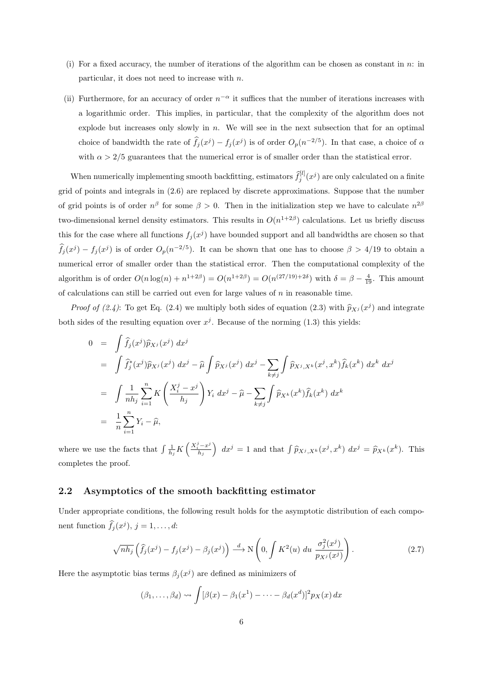- (i) For a fixed accuracy, the number of iterations of the algorithm can be chosen as constant in  $n:$  in particular, it does not need to increase with n.
- (ii) Furthermore, for an accuracy of order  $n^{-\alpha}$  it suffices that the number of iterations increases with a logarithmic order. This implies, in particular, that the complexity of the algorithm does not explode but increases only slowly in  $n$ . We will see in the next subsection that for an optimal choice of bandwidth the rate of  $\hat{f}_j(x^j) - f_j(x^j)$  is of order  $O_p(n^{-2/5})$ . In that case, a choice of  $\alpha$ with  $\alpha > 2/5$  guarantees that the numerical error is of smaller order than the statistical error.

When numerically implementing smooth backfitting, estimators  $\hat{f}_j^{[l]}(x^j)$  are only calculated on a finite grid of points and integrals in (2.6) are replaced by discrete approximations. Suppose that the number of grid points is of order  $n^{\beta}$  for some  $\beta > 0$ . Then in the initialization step we have to calculate  $n^{2\beta}$ two-dimensional kernel density estimators. This results in  $O(n^{1+2\beta})$  calculations. Let us briefly discuss this for the case where all functions  $f_j(x^j)$  have bounded support and all bandwidths are chosen so that  $\widehat{f}_j(x^j) - f_j(x^j)$  is of order  $O_p(n^{-2/5})$ . It can be shown that one has to choose  $\beta > 4/19$  to obtain a numerical error of smaller order than the statistical error. Then the computational complexity of the algorithm is of order  $O(n \log(n) + n^{1+2\beta}) = O(n^{1+2\beta}) = O(n^{(27/19)+2\delta})$  with  $\delta = \beta - \frac{4}{19}$ . This amount of calculations can still be carried out even for large values of  $n$  in reasonable time.

*Proof of (2.4)*: To get Eq. (2.4) we multiply both sides of equation (2.3) with  $\hat{p}_{Xj} (x^j)$  and integrate both sides of the resulting equation over  $x^j$ . Because of the norming (1.3) this yields:

$$
0 = \int \hat{f}_j(x^j) \hat{p}_{X^j}(x^j) dx^j
$$
  
\n
$$
= \int \hat{f}_j^*(x^j) \hat{p}_{X^j}(x^j) dx^j - \hat{\mu} \int \hat{p}_{X^j}(x^j) dx^j - \sum_{k \neq j} \int \hat{p}_{X^j, X^k}(x^j, x^k) \hat{f}_k(x^k) dx^k dx^j
$$
  
\n
$$
= \int \frac{1}{nh_j} \sum_{i=1}^n K\left(\frac{X_i^j - x^j}{h_j}\right) Y_i dx^j - \hat{\mu} - \sum_{k \neq j} \int \hat{p}_{X^k}(x^k) \hat{f}_k(x^k) dx^k
$$
  
\n
$$
= \frac{1}{n} \sum_{i=1}^n Y_i - \hat{\mu},
$$

where we use the facts that  $\int \frac{1}{h_j} K\left(\frac{X_i^j - x^j}{h_j}\right)$  $\left(\frac{d^2-x^j}{h_j}\right) dx^j = 1$  and that  $\int \widehat{p}_{X^j, X^k}(x^j, x^k) dx^j = \widehat{p}_{X^k}(x^k)$ . This completes the proof.

#### 2.2 Asymptotics of the smooth backfitting estimator

Under appropriate conditions, the following result holds for the asymptotic distribution of each component function  $\hat{f}_j(x^j), j = 1, \ldots, d$ :

$$
\sqrt{nh_j}\left(\hat{f}_j(x^j) - f_j(x^j) - \beta_j(x^j)\right) \stackrel{d}{\longrightarrow} \mathcal{N}\left(0, \int K^2(u) \ du \ \frac{\sigma_j^2(x^j)}{p_{X^j}(x^j)}\right). \tag{2.7}
$$

Here the asymptotic bias terms  $\beta_j(x^j)$  are defined as minimizers of

$$
(\beta_1,\ldots,\beta_d)\leadsto\int [\beta(x)-\beta_1(x^1)-\cdots-\beta_d(x^d)]^2p_X(x)\,dx
$$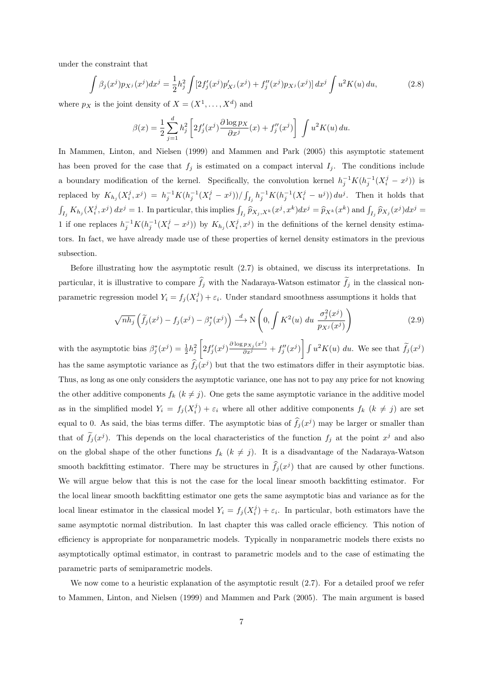under the constraint that

$$
\int \beta_j(x^j) p_{X^j}(x^j) dx^j = \frac{1}{2} h_j^2 \int [2f'_j(x^j) p'_{X^j}(x^j) + f''_j(x^j) p_{X^j}(x^j)] dx^j \int u^2 K(u) du,
$$
\n(2.8)

where  $p_X$  is the joint density of  $X = (X^1, \ldots, X^d)$  and

$$
\beta(x) = \frac{1}{2} \sum_{j=1}^d h_j^2 \left[ 2f'_j(x^j) \frac{\partial \log p_X}{\partial x^j}(x) + f''_j(x^j) \right] \int u^2 K(u) \, du.
$$

In Mammen, Linton, and Nielsen (1999) and Mammen and Park (2005) this asymptotic statement has been proved for the case that  $f_j$  is estimated on a compact interval  $I_j$ . The conditions include a boundary modification of the kernel. Specifically, the convolution kernel  $h_j^{-1}K(h_j^{-1}(X_i^j - x^j))$  is replaced by  $K_{h_j}(X_i^j, x^j) = h_j^{-1}K(h_j^{-1}(X_i^j - x^j))/\int_{I_j} h_j^{-1}K(h_j^{-1}(X_i^j - u^j)) du^j$ . Then it holds that  $\int_{I_j} K_{h_j}(X_i^j, x^j) dx^j = 1$ . In particular, this implies  $\int_{I_j} \widehat{p}_{X_j, X^k}(x^j, x^k) dx^j = \widehat{p}_{X^k}(x^k)$  and  $\int_{I_j} \widehat{p}_{X_j}(x^j) dx^j =$ 1 if one replaces  $h_j^{-1}K(h_j^{-1}(X_i^j - x^j))$  by  $K_{h_j}(X_i^j, x^j)$  in the definitions of the kernel density estimators. In fact, we have already made use of these properties of kernel density estimators in the previous subsection.

Before illustrating how the asymptotic result (2.7) is obtained, we discuss its interpretations. In particular, it is illustrative to compare  $\hat{f}_j$  with the Nadaraya-Watson estimator  $\tilde{f}_j$  in the classical nonparametric regression model  $Y_i = f_j(X_i^j) + \varepsilon_i$ . Under standard smoothness assumptions it holds that

$$
\sqrt{nh_j}\left(\tilde{f}_j(x^j) - f_j(x^j) - \beta_j^*(x^j)\right) \stackrel{d}{\longrightarrow} \mathcal{N}\left(0, \int K^2(u) \, du \, \frac{\sigma_j^2(x^j)}{p_{X^j}(x^j)}\right) \tag{2.9}
$$

with the asymptotic bias  $\beta_j^*(x^j) = \frac{1}{2}h_j^2$  $\left[2f'_{j}(x^{j})\frac{\partial \log p_{X_{j}}(x^{j})}{\partial x^{j}}+f''_{j}(x^{j})\right] \int u^{2}K(u) du$ . We see that  $\widetilde{f}_{j}(x^{j})$ has the same asymptotic variance as  $\hat{f}_j(x^j)$  but that the two estimators differ in their asymptotic bias. Thus, as long as one only considers the asymptotic variance, one has not to pay any price for not knowing the other additive components  $f_k$  ( $k \neq j$ ). One gets the same asymptotic variance in the additive model as in the simplified model  $Y_i = f_j(X_i^j) + \varepsilon_i$  where all other additive components  $f_k$   $(k \neq j)$  are set equal to 0. As said, the bias terms differ. The asymptotic bias of  $\hat{f}_j(x^j)$  may be larger or smaller than that of  $\tilde{f}_j(x^j)$ . This depends on the local characteristics of the function  $f_j$  at the point  $x^j$  and also on the global shape of the other functions  $f_k$  ( $k \neq j$ ). It is a disadvantage of the Nadaraya-Watson smooth backfitting estimator. There may be structures in  $\hat{f}_j(x^j)$  that are caused by other functions. We will argue below that this is not the case for the local linear smooth backfitting estimator. For the local linear smooth backfitting estimator one gets the same asymptotic bias and variance as for the local linear estimator in the classical model  $Y_i = f_j(X_i^j) + \varepsilon_i$ . In particular, both estimators have the same asymptotic normal distribution. In last chapter this was called oracle efficiency. This notion of efficiency is appropriate for nonparametric models. Typically in nonparametric models there exists no asymptotically optimal estimator, in contrast to parametric models and to the case of estimating the parametric parts of semiparametric models.

We now come to a heuristic explanation of the asymptotic result  $(2.7)$ . For a detailed proof we refer to Mammen, Linton, and Nielsen (1999) and Mammen and Park (2005). The main argument is based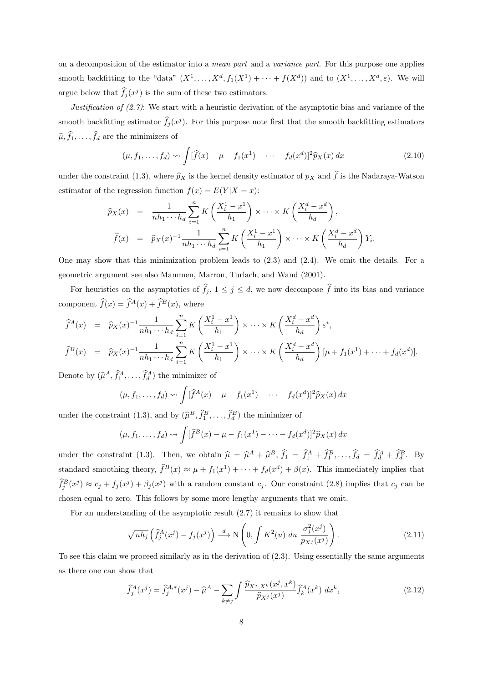on a decomposition of the estimator into a mean part and a variance part. For this purpose one applies smooth backfitting to the "data"  $(X^1, \ldots, X^d, f_1(X^1) + \cdots + f(X^d))$  and to  $(X^1, \ldots, X^d, \varepsilon)$ . We will argue below that  $\hat{f}_j(x^j)$  is the sum of these two estimators.

Justification of  $(2.7)$ : We start with a heuristic derivation of the asymptotic bias and variance of the smooth backfitting estimator  $\hat{f}_j(x^j)$ . For this purpose note first that the smooth backfitting estimators  $\widehat{\mu}, \widehat{f}_1, \ldots, \widehat{f}_d$  are the minimizers of

$$
(\mu, f_1, \dots, f_d) \rightsquigarrow \int [\widehat{f}(x) - \mu - f_1(x^1) - \dots - f_d(x^d)]^2 \widehat{p}_X(x) dx \tag{2.10}
$$

under the constraint (1.3), where  $\hat{p}_X$  is the kernel density estimator of  $p_X$  and  $\hat{f}$  is the Nadaraya-Watson estimator of the regression function  $f(x) = E(Y|X = x)$ :

$$
\widehat{p}_X(x) = \frac{1}{nh_1 \cdots h_d} \sum_{i=1}^n K\left(\frac{X_i^1 - x^1}{h_1}\right) \times \cdots \times K\left(\frac{X_i^d - x^d}{h_d}\right),
$$
  

$$
\widehat{f}(x) = \widehat{p}_X(x)^{-1} \frac{1}{nh_1 \cdots h_d} \sum_{i=1}^n K\left(\frac{X_i^1 - x^1}{h_1}\right) \times \cdots \times K\left(\frac{X_i^d - x^d}{h_d}\right) Y_i.
$$

One may show that this minimization problem leads to (2.3) and (2.4). We omit the details. For a geometric argument see also Mammen, Marron, Turlach, and Wand (2001).

For heuristics on the asymptotics of  $\hat{f}_j$ ,  $1 \leq j \leq d$ , we now decompose  $\hat{f}$  into its bias and variance component  $\widehat{f}(x) = \widehat{f}^{A}(x) + \widehat{f}^{B}(x)$ , where

$$
\widehat{f}^{A}(x) = \widehat{p}_{X}(x)^{-1} \frac{1}{nh_{1} \cdots h_{d}} \sum_{i=1}^{n} K\left(\frac{X_{i}^{1} - x^{1}}{h_{1}}\right) \times \cdots \times K\left(\frac{X_{i}^{d} - x^{d}}{h_{d}}\right) \varepsilon^{i},
$$
\n
$$
\widehat{f}^{B}(x) = \widehat{p}_{X}(x)^{-1} \frac{1}{nh_{1} \cdots h_{d}} \sum_{i=1}^{n} K\left(\frac{X_{i}^{1} - x^{1}}{h_{1}}\right) \times \cdots \times K\left(\frac{X_{i}^{d} - x^{d}}{h_{d}}\right) [\mu + f_{1}(x^{1}) + \cdots + f_{d}(x^{d})].
$$

Denote by  $(\widehat{\mu}^A, \widehat{f}^A_1, \dots, \widehat{f}^A_d)$  the minimizer of

$$
(\mu, f_1, \dots, f_d) \rightsquigarrow \int [\widehat{f}^A(x) - \mu - f_1(x^1) - \dots - f_d(x^d)]^2 \widehat{p}_X(x) dx
$$

under the constraint (1.3), and by  $(\hat{\mu}^B, \hat{f}_1^B, \dots, \hat{f}_d^B)$  the minimizer of

$$
(\mu, f_1, \dots, f_d) \rightsquigarrow \int [\widehat{f}^B(x) - \mu - f_1(x^1) - \dots - f_d(x^d)]^2 \widehat{p}_X(x) dx
$$

under the constraint (1.3). Then, we obtain  $\hat{\mu} = \hat{\mu}^A + \hat{\mu}^B$ ,  $\hat{f}_1 = \hat{f}_1^A + \hat{f}_1^B$ , ...,  $\hat{f}_d = \hat{f}_d^A + \hat{f}_d^B$ . By standard smoothing theory,  $\hat{f}^B(x) \approx \mu + f_1(x^1) + \cdots + f_d(x^d) + \beta(x)$ . This immediately implies that  $\hat{f}_j^B(x^j) \approx c_j + f_j(x^j) + \beta_j(x^j)$  with a random constant  $c_j$ . Our constraint (2.8) implies that  $c_j$  can be chosen equal to zero. This follows by some more lengthy arguments that we omit.

For an understanding of the asymptotic result (2.7) it remains to show that

$$
\sqrt{nh_j} \left( \hat{f}_j^A(x^j) - f_j(x^j) \right) \stackrel{d}{\longrightarrow} \mathcal{N} \left( 0, \int K^2(u) \ du \ \frac{\sigma_j^2(x^j)}{p_{X^j}(x^j)} \right). \tag{2.11}
$$

To see this claim we proceed similarly as in the derivation of  $(2.3)$ . Using essentially the same arguments as there one can show that

$$
\widehat{f}_{j}^{A}(x^{j}) = \widehat{f}_{j}^{A,*}(x^{j}) - \widehat{\mu}^{A} - \sum_{k \neq j} \int \frac{\widehat{p}_{X^{j}, X^{k}}(x^{j}, x^{k})}{\widehat{p}_{X^{j}}(x^{j})} \widehat{f}_{k}^{A}(x^{k}) dx^{k},
$$
\n(2.12)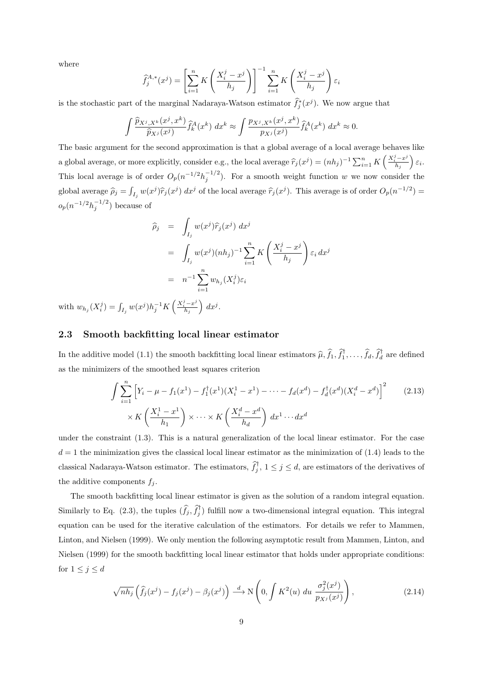where

$$
\widehat{f}_j^{A,*}(x^j) = \left[\sum_{i=1}^n K\left(\frac{X_i^j - x^j}{h_j}\right)\right]^{-1} \sum_{i=1}^n K\left(\frac{X_i^j - x^j}{h_j}\right) \varepsilon_i
$$

is the stochastic part of the marginal Nadaraya-Watson estimator  $\hat{f}_j^*(x^j)$ . We now argue that

$$
\int \frac{\widehat{p}_{X^j,X^k}(x^j,x^k)}{\widehat{p}_{X^j}(x^j)} \widehat{f}_k^A(x^k) dx^k \approx \int \frac{p_{X^j,X^k}(x^j,x^k)}{p_{X^j}(x^j)} \widehat{f}_k^A(x^k) dx^k \approx 0.
$$

The basic argument for the second approximation is that a global average of a local average behaves like a global average, or more explicitly, consider e.g., the local average  $\hat{r}_j(x^j) = (nh_j)^{-1} \sum_{i=1}^n K\left(\frac{X_i^j - x^j}{h_j}\right)$  $\left(\frac{i-x^j}{h_j}\right)\varepsilon_i.$ This local average is of order  $O_p(n^{-1/2}h_j^{-1/2})$ . For a smooth weight function w we now consider the global average  $\hat{\rho}_j = \int_{I_j} w(x^j) \hat{r}_j(x^j) dx^j$  of the local average  $\hat{r}_j(x^j)$ . This average is of order  $O_p(n^{-1/2}) =$  $o_p(n^{-1/2}h_j^{-1/2})$  because of

$$
\widehat{\rho}_j = \int_{I_j} w(x^j) \widehat{r}_j(x^j) dx^j
$$
  
\n
$$
= \int_{I_j} w(x^j) (nh_j)^{-1} \sum_{i=1}^n K\left(\frac{X_i^j - x^j}{h_j}\right) \varepsilon_i dx^j
$$
  
\n
$$
= n^{-1} \sum_{i=1}^n w_{h_j}(X_i^j) \varepsilon_i
$$

with  $w_{h_j}(X_i^j) = \int_{I_j} w(x^j) h_j^{-1} K\left(\frac{X_i^j - x^j}{h_j}\right)$  $\left(\frac{j-x^j}{h_j}\right) dx^j.$ 

#### 2.3 Smooth backfitting local linear estimator

In the additive model (1.1) the smooth backfitting local linear estimators  $\hat{\mu}, \hat{f}_1, \hat{f}_1^{\dagger}, \dots, \hat{f}_d, \hat{f}_d^{\dagger}$  are defined as the minimizers of the smoothed least squares criterion

$$
\int \sum_{i=1}^{n} \left[ Y_i - \mu - f_1(x^1) - f_1^{\dagger}(x^1)(X_i^1 - x^1) - \dots - f_d(x^d) - f_d^{\dagger}(x^d)(X_i^d - x^d) \right]^2 \tag{2.13}
$$
\n
$$
\times K \left( \frac{X_i^1 - x^1}{h_1} \right) \times \dots \times K \left( \frac{X_i^d - x^d}{h_d} \right) dx^1 \dots dx^d
$$

under the constraint (1.3). This is a natural generalization of the local linear estimator. For the case  $d = 1$  the minimization gives the classical local linear estimator as the minimization of  $(1.4)$  leads to the classical Nadaraya-Watson estimator. The estimators,  $\hat{f}_j^{\dagger}$ ,  $1 \leq j \leq d$ , are estimators of the derivatives of the additive components  $f_i$ .

The smooth backfitting local linear estimator is given as the solution of a random integral equation. Similarly to Eq. (2.3), the tuples  $(\hat{f}_j, \hat{f}_j^{\dagger})$  fulfill now a two-dimensional integral equation. This integral equation can be used for the iterative calculation of the estimators. For details we refer to Mammen, Linton, and Nielsen (1999). We only mention the following asymptotic result from Mammen, Linton, and Nielsen (1999) for the smooth backfitting local linear estimator that holds under appropriate conditions: for  $1 \leq j \leq d$ 

$$
\sqrt{nh_j}\left(\hat{f}_j(x^j) - f_j(x^j) - \beta_j(x^j)\right) \stackrel{d}{\longrightarrow} \mathcal{N}\left(0, \int K^2(u) \ du \ \frac{\sigma_j^2(x^j)}{p_{X^j}(x^j)}\right),\tag{2.14}
$$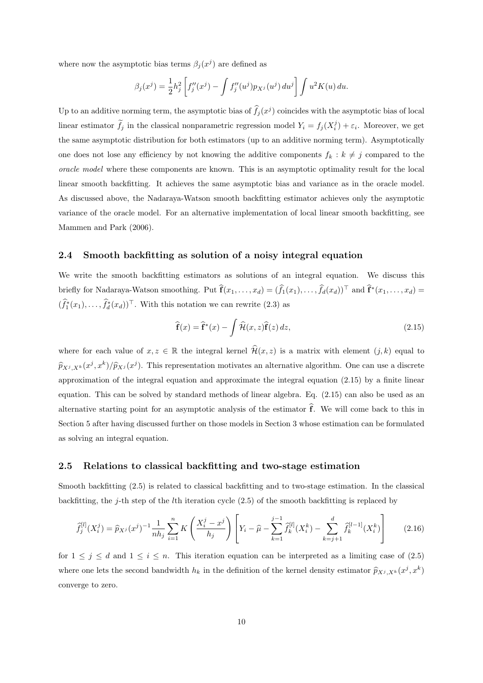where now the asymptotic bias terms  $\beta_j(x^j)$  are defined as

$$
\beta_j(x^j) = \frac{1}{2} h_j^2 \left[ f''_j(x^j) - \int f''_j(u^j) p_{X^j}(u^j) \, du^j \right] \int u^2 K(u) \, du.
$$

Up to an additive norming term, the asymptotic bias of  $\hat{f}_j(x^j)$  coincides with the asymptotic bias of local linear estimator  $\tilde{f}_j$  in the classical nonparametric regression model  $Y_i = f_j(X_i^j) + \varepsilon_i$ . Moreover, we get the same asymptotic distribution for both estimators (up to an additive norming term). Asymptotically one does not lose any efficiency by not knowing the additive components  $f_k : k \neq j$  compared to the oracle model where these components are known. This is an asymptotic optimality result for the local linear smooth backfitting. It achieves the same asymptotic bias and variance as in the oracle model. As discussed above, the Nadaraya-Watson smooth backfitting estimator achieves only the asymptotic variance of the oracle model. For an alternative implementation of local linear smooth backfitting, see Mammen and Park (2006).

#### 2.4 Smooth backfitting as solution of a noisy integral equation

We write the smooth backfitting estimators as solutions of an integral equation. We discuss this briefly for Nadaraya-Watson smoothing. Put  $\hat{\mathbf{f}}(x_1, \ldots, x_d) = (\hat{f}_1(x_1), \ldots, \hat{f}_d(x_d))^{\top}$  and  $\hat{\mathbf{f}}^*(x_1, \ldots, x_d) =$  $(\widehat{f}_1^*(x_1), \ldots, \widehat{f}_d^*(x_d))^{\top}$ . With this notation we can rewrite (2.3) as

$$
\widehat{\mathbf{f}}(x) = \widehat{\mathbf{f}}^*(x) - \int \widehat{\mathcal{H}}(x, z) \widehat{\mathbf{f}}(z) dz,
$$
\n(2.15)

where for each value of  $x, z \in \mathbb{R}$  the integral kernel  $\hat{\mathcal{H}}(x, z)$  is a matrix with element  $(j, k)$  equal to  $\widehat{p}_{X^j, X^k}(x^j, x^k) / \widehat{p}_{X^j}(x^j)$ . This representation motivates an alternative algorithm. One can use a discrete approximation of the integral equation and approximate the integral equation (2.15) by a finite linear equation. This can be solved by standard methods of linear algebra. Eq. (2.15) can also be used as an alternative starting point for an asymptotic analysis of the estimator  $\hat{f}$ . We will come back to this in Section 5 after having discussed further on those models in Section 3 whose estimation can be formulated as solving an integral equation.

#### 2.5 Relations to classical backfitting and two-stage estimation

Smooth backfitting (2.5) is related to classical backfitting and to two-stage estimation. In the classical backfitting, the j-th step of the lth iteration cycle (2.5) of the smooth backfitting is replaced by

$$
\widehat{f}_j^{[l]}(X_i^j) = \widehat{p}_{X^j}(x^j)^{-1} \frac{1}{nh_j} \sum_{i=1}^n K\left(\frac{X_i^j - x^j}{h_j}\right) \left[ Y_i - \widehat{\mu} - \sum_{k=1}^{j-1} \widehat{f}_k^{[l]}(X_i^k) - \sum_{k=j+1}^d \widehat{f}_k^{[l-1]}(X_i^k) \right] \tag{2.16}
$$

for  $1 \leq j \leq d$  and  $1 \leq i \leq n$ . This iteration equation can be interpreted as a limiting case of (2.5) where one lets the second bandwidth  $h_k$  in the definition of the kernel density estimator  $\hat{p}_{X^j, X^k}(x^j, x^k)$ converge to zero.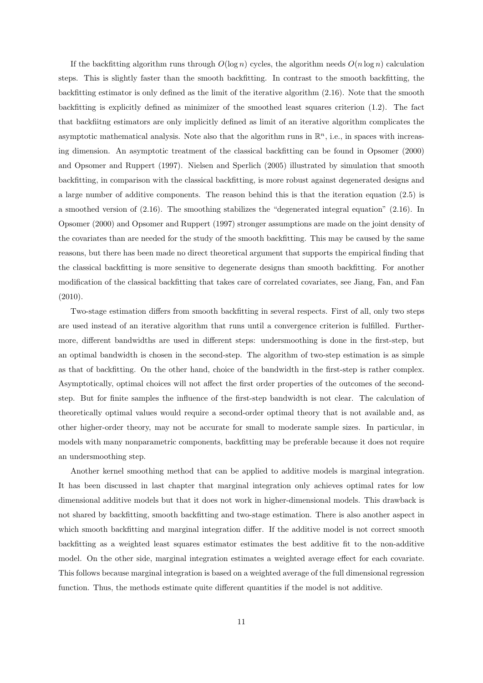If the backfitting algorithm runs through  $O(\log n)$  cycles, the algorithm needs  $O(n \log n)$  calculation steps. This is slightly faster than the smooth backfitting. In contrast to the smooth backfitting, the backfitting estimator is only defined as the limit of the iterative algorithm (2.16). Note that the smooth backfitting is explicitly defined as minimizer of the smoothed least squares criterion (1.2). The fact that backfiitng estimators are only implicitly defined as limit of an iterative algorithm complicates the asymptotic mathematical analysis. Note also that the algorithm runs in  $\mathbb{R}^n$ , i.e., in spaces with increasing dimension. An asymptotic treatment of the classical backfitting can be found in Opsomer (2000) and Opsomer and Ruppert (1997). Nielsen and Sperlich (2005) illustrated by simulation that smooth backfitting, in comparison with the classical backfitting, is more robust against degenerated designs and a large number of additive components. The reason behind this is that the iteration equation (2.5) is a smoothed version of (2.16). The smoothing stabilizes the "degenerated integral equation" (2.16). In Opsomer (2000) and Opsomer and Ruppert (1997) stronger assumptions are made on the joint density of the covariates than are needed for the study of the smooth backfitting. This may be caused by the same reasons, but there has been made no direct theoretical argument that supports the empirical finding that the classical backfitting is more sensitive to degenerate designs than smooth backfitting. For another modification of the classical backfitting that takes care of correlated covariates, see Jiang, Fan, and Fan (2010).

Two-stage estimation differs from smooth backfitting in several respects. First of all, only two steps are used instead of an iterative algorithm that runs until a convergence criterion is fulfilled. Furthermore, different bandwidths are used in different steps: undersmoothing is done in the first-step, but an optimal bandwidth is chosen in the second-step. The algorithm of two-step estimation is as simple as that of backfitting. On the other hand, choice of the bandwidth in the first-step is rather complex. Asymptotically, optimal choices will not affect the first order properties of the outcomes of the secondstep. But for finite samples the influence of the first-step bandwidth is not clear. The calculation of theoretically optimal values would require a second-order optimal theory that is not available and, as other higher-order theory, may not be accurate for small to moderate sample sizes. In particular, in models with many nonparametric components, backfitting may be preferable because it does not require an undersmoothing step.

Another kernel smoothing method that can be applied to additive models is marginal integration. It has been discussed in last chapter that marginal integration only achieves optimal rates for low dimensional additive models but that it does not work in higher-dimensional models. This drawback is not shared by backfitting, smooth backfitting and two-stage estimation. There is also another aspect in which smooth backfitting and marginal integration differ. If the additive model is not correct smooth backfitting as a weighted least squares estimator estimates the best additive fit to the non-additive model. On the other side, marginal integration estimates a weighted average effect for each covariate. This follows because marginal integration is based on a weighted average of the full dimensional regression function. Thus, the methods estimate quite different quantities if the model is not additive.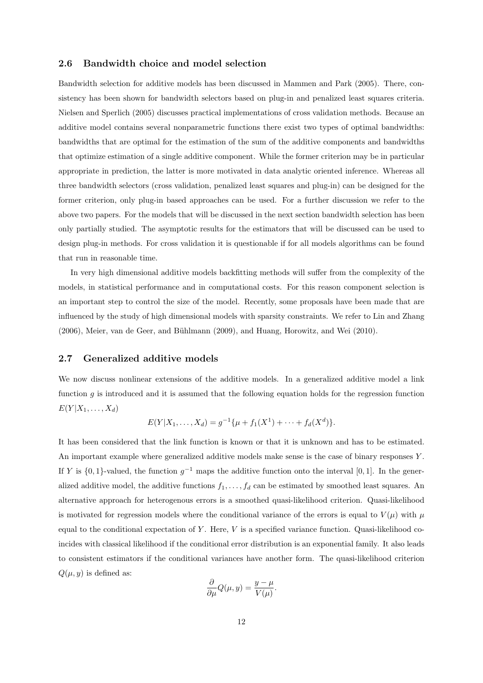#### 2.6 Bandwidth choice and model selection

Bandwidth selection for additive models has been discussed in Mammen and Park (2005). There, consistency has been shown for bandwidth selectors based on plug-in and penalized least squares criteria. Nielsen and Sperlich (2005) discusses practical implementations of cross validation methods. Because an additive model contains several nonparametric functions there exist two types of optimal bandwidths: bandwidths that are optimal for the estimation of the sum of the additive components and bandwidths that optimize estimation of a single additive component. While the former criterion may be in particular appropriate in prediction, the latter is more motivated in data analytic oriented inference. Whereas all three bandwidth selectors (cross validation, penalized least squares and plug-in) can be designed for the former criterion, only plug-in based approaches can be used. For a further discussion we refer to the above two papers. For the models that will be discussed in the next section bandwidth selection has been only partially studied. The asymptotic results for the estimators that will be discussed can be used to design plug-in methods. For cross validation it is questionable if for all models algorithms can be found that run in reasonable time.

In very high dimensional additive models backfitting methods will suffer from the complexity of the models, in statistical performance and in computational costs. For this reason component selection is an important step to control the size of the model. Recently, some proposals have been made that are influenced by the study of high dimensional models with sparsity constraints. We refer to Lin and Zhang (2006), Meier, van de Geer, and Bühlmann (2009), and Huang, Horowitz, and Wei (2010).

### 2.7 Generalized additive models

We now discuss nonlinear extensions of the additive models. In a generalized additive model a link function  $q$  is introduced and it is assumed that the following equation holds for the regression function  $E(Y | X_1, \ldots, X_d)$ 

$$
E(Y|X_1,\ldots,X_d) = g^{-1}\{\mu + f_1(X^1) + \cdots + f_d(X^d)\}.
$$

It has been considered that the link function is known or that it is unknown and has to be estimated. An important example where generalized additive models make sense is the case of binary responses Y . If Y is  $\{0,1\}$ -valued, the function  $g^{-1}$  maps the additive function onto the interval [0,1]. In the generalized additive model, the additive functions  $f_1, \ldots, f_d$  can be estimated by smoothed least squares. An alternative approach for heterogenous errors is a smoothed quasi-likelihood criterion. Quasi-likelihood is motivated for regression models where the conditional variance of the errors is equal to  $V(\mu)$  with  $\mu$ equal to the conditional expectation of  $Y$ . Here,  $V$  is a specified variance function. Quasi-likelihood coincides with classical likelihood if the conditional error distribution is an exponential family. It also leads to consistent estimators if the conditional variances have another form. The quasi-likelihood criterion  $Q(\mu, y)$  is defined as:

$$
\frac{\partial}{\partial \mu} Q(\mu, y) = \frac{y - \mu}{V(\mu)}.
$$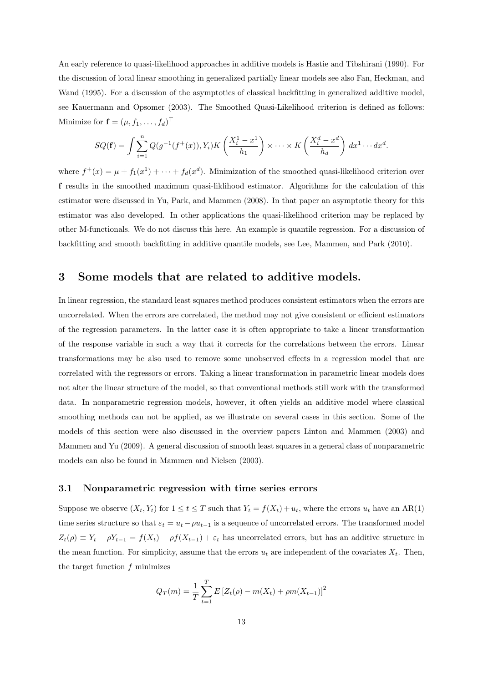An early reference to quasi-likelihood approaches in additive models is Hastie and Tibshirani (1990). For the discussion of local linear smoothing in generalized partially linear models see also Fan, Heckman, and Wand (1995). For a discussion of the asymptotics of classical backfitting in generalized additive model. see Kauermann and Opsomer (2003). The Smoothed Quasi-Likelihood criterion is defined as follows: Minimize for  $\mathbf{f} = (\mu, f_1, \dots, f_d)^\top$ 

$$
SQ(\mathbf{f}) = \int \sum_{i=1}^{n} Q(g^{-1}(f^+(x)), Y_i) K\left(\frac{X_i^1 - x^1}{h_1}\right) \times \cdots \times K\left(\frac{X_i^d - x^d}{h_d}\right) dx^1 \cdots dx^d.
$$

where  $f^+(x) = \mu + f_1(x^1) + \cdots + f_d(x^d)$ . Minimization of the smoothed quasi-likelihood criterion over f results in the smoothed maximum quasi-liklihood estimator. Algorithms for the calculation of this estimator were discussed in Yu, Park, and Mammen (2008). In that paper an asymptotic theory for this estimator was also developed. In other applications the quasi-likelihood criterion may be replaced by other M-functionals. We do not discuss this here. An example is quantile regression. For a discussion of backfitting and smooth backfitting in additive quantile models, see Lee, Mammen, and Park (2010).

### 3 Some models that are related to additive models.

In linear regression, the standard least squares method produces consistent estimators when the errors are uncorrelated. When the errors are correlated, the method may not give consistent or efficient estimators of the regression parameters. In the latter case it is often appropriate to take a linear transformation of the response variable in such a way that it corrects for the correlations between the errors. Linear transformations may be also used to remove some unobserved effects in a regression model that are correlated with the regressors or errors. Taking a linear transformation in parametric linear models does not alter the linear structure of the model, so that conventional methods still work with the transformed data. In nonparametric regression models, however, it often yields an additive model where classical smoothing methods can not be applied, as we illustrate on several cases in this section. Some of the models of this section were also discussed in the overview papers Linton and Mammen (2003) and Mammen and Yu (2009). A general discussion of smooth least squares in a general class of nonparametric models can also be found in Mammen and Nielsen (2003).

#### 3.1 Nonparametric regression with time series errors

Suppose we observe  $(X_t, Y_t)$  for  $1 \le t \le T$  such that  $Y_t = f(X_t) + u_t$ , where the errors  $u_t$  have an AR(1) time series structure so that  $\varepsilon_t = u_t - \rho u_{t-1}$  is a sequence of uncorrelated errors. The transformed model  $Z_t(\rho) \equiv Y_t - \rho Y_{t-1} = f(X_t) - \rho f(X_{t-1}) + \varepsilon_t$  has uncorrelated errors, but has an additive structure in the mean function. For simplicity, assume that the errors  $u_t$  are independent of the covariates  $X_t$ . Then, the target function f minimizes

$$
Q_T(m) = \frac{1}{T} \sum_{t=1}^{T} E \left[ Z_t(\rho) - m(X_t) + \rho m(X_{t-1}) \right]^2
$$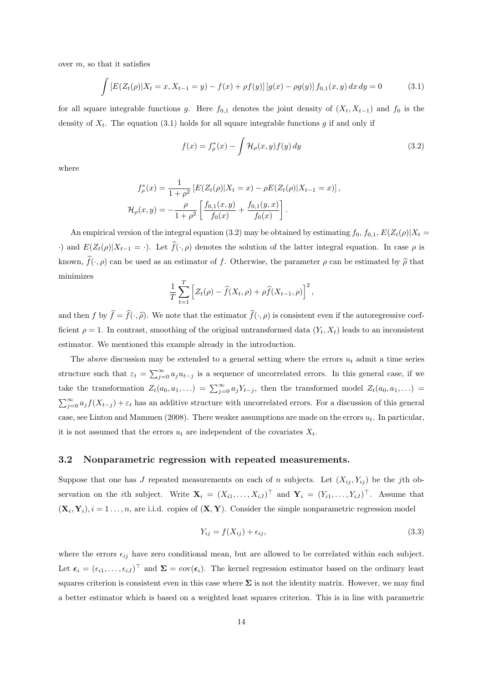over  $m$ , so that it satisfies

$$
\int \left[ E(Z_t(\rho)|X_t = x, X_{t-1} = y) - f(x) + \rho f(y) \right] \left[ g(x) - \rho g(y) \right] f_{0,1}(x, y) \, dx \, dy = 0 \tag{3.1}
$$

for all square integrable functions g. Here  $f_{0,1}$  denotes the joint density of  $(X_t, X_{t-1})$  and  $f_0$  is the density of  $X_t$ . The equation (3.1) holds for all square integrable functions g if and only if

$$
f(x) = f_{\rho}^*(x) - \int \mathcal{H}_{\rho}(x, y) f(y) dy
$$
\n(3.2)

where

$$
f_{\rho}^*(x) = \frac{1}{1+\rho^2} \left[ E(Z_t(\rho)|X_t = x) - \rho E(Z_t(\rho)|X_{t-1} = x) \right],
$$
  

$$
\mathcal{H}_{\rho}(x, y) = -\frac{\rho}{1+\rho^2} \left[ \frac{f_{0,1}(x, y)}{f_0(x)} + \frac{f_{0,1}(y, x)}{f_0(x)} \right].
$$

An empirical version of the integral equation (3.2) may be obtained by estimating  $f_0$ ,  $f_{0,1}$ ,  $E(Z_t(\rho)|X_t =$ ·) and  $E(Z_t(\rho)|X_{t-1} = \cdot)$ . Let  $\widehat{f}(\cdot, \rho)$  denotes the solution of the latter integral equation. In case  $\rho$  is known,  $\hat{f}(\cdot, \rho)$  can be used as an estimator of f. Otherwise, the parameter  $\rho$  can be estimated by  $\hat{\rho}$  that minimizes

$$
\frac{1}{T}\sum_{t=1}^T \left[ Z_t(\rho) - \widehat{f}(X_t,\rho) + \rho \widehat{f}(X_{t-1},\rho) \right]^2,
$$

and then f by  $\hat{f} = \hat{f}(\cdot, \hat{\rho})$ . We note that the estimator  $\hat{f}(\cdot, \rho)$  is consistent even if the autoregressive coefficient  $\rho = 1$ . In contrast, smoothing of the original untransformed data  $(Y_t, X_t)$  leads to an inconsistent estimator. We mentioned this example already in the introduction.

The above discussion may be extended to a general setting where the errors  $u_t$  admit a time series structure such that  $\varepsilon_t = \sum_{j=0}^{\infty} a_j u_{t-j}$  is a sequence of uncorrelated errors. In this general case, if we take the transformation  $Z_t(a_0, a_1, \ldots) = \sum_{j=0}^{\infty} a_j Y_{t-j}$ , then the transformed model  $Z_t(a_0, a_1, \ldots) =$  $\sum_{j=0}^{\infty} a_j f(X_{t-j}) + \varepsilon_t$  has an additive structure with uncorrelated errors. For a discussion of this general case, see Linton and Mammen (2008). There weaker assumptions are made on the errors  $u_t$ . In particular, it is not assumed that the errors  $u_t$  are independent of the covariates  $X_t$ .

#### 3.2 Nonparametric regression with repeated measurements.

Suppose that one has J repeated measurements on each of n subjects. Let  $(X_{ij}, Y_{ij})$  be the jth observation on the *i*th subject. Write  $\mathbf{X}_i = (X_{i1},...,X_{iJ})^\top$  and  $\mathbf{Y}_i = (Y_{i1},...,Y_{iJ})^\top$ . Assume that  $(X_i, Y_i), i = 1, \ldots, n$ , are i.i.d. copies of  $(X, Y)$ . Consider the simple nonparametric regression model

$$
Y_{ij} = f(X_{ij}) + \epsilon_{ij},\tag{3.3}
$$

where the errors  $\epsilon_{ij}$  have zero conditional mean, but are allowed to be correlated within each subject. Let  $\boldsymbol{\epsilon}_i = (\epsilon_{i1}, \ldots, \epsilon_{iJ})^\top$  and  $\boldsymbol{\Sigma} = \text{cov}(\boldsymbol{\epsilon}_i)$ . The kernel regression estimator based on the ordinary least squares criterion is consistent even in this case where  $\Sigma$  is not the identity matrix. However, we may find a better estimator which is based on a weighted least squares criterion. This is in line with parametric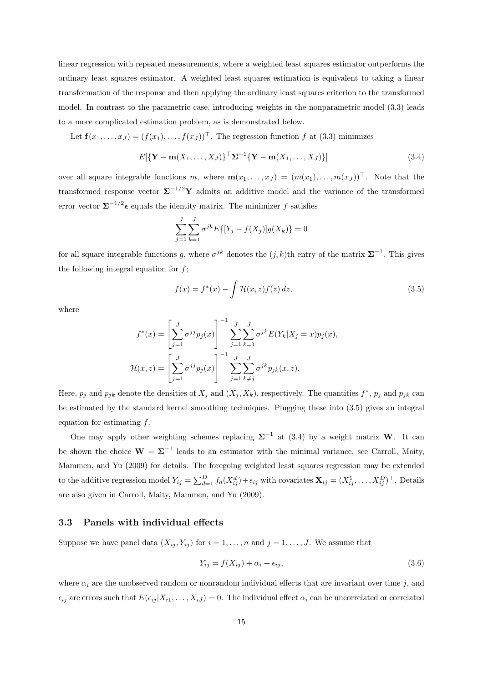linear regression with repeated measurements, where a weighted least squares estimator outperforms the ordinary least squares estimator. A weighted least squares estimation is equivalent to taking a linear transformation of the response and then applying the ordinary least squares criterion to the transformed model. In contrast to the parametric case, introducing weights in the nonparametric model (3.3) leads to a more complicated estimation problem, as is demonstrated below.

Let  $\mathbf{f}(x_1,\ldots,x_J) = (f(x_1),\ldots,f(x_J))^{\top}$ . The regression function f at (3.3) minimizes

$$
E[\{\mathbf{Y} - \mathbf{m}(X_1, \dots, X_J)\}^{\top} \mathbf{\Sigma}^{-1} \{\mathbf{Y} - \mathbf{m}(X_1, \dots, X_J)\}]
$$
\n(3.4)

over all square integrable functions m, where  $\mathbf{m}(x_1,\ldots,x_J) = (m(x_1),\ldots,m(x_J))^T$ . Note that the transformed response vector  $\Sigma^{-1/2}Y$  admits an additive model and the variance of the transformed error vector  $\Sigma^{-1/2} \epsilon$  equals the identity matrix. The minimizer f satisfies

$$
\sum_{j=1}^{J} \sum_{k=1}^{J} \sigma^{jk} E\{[Y_j - f(X_j)]g(X_k)\} = 0
$$

for all square integrable functions g, where  $\sigma^{jk}$  denotes the  $(j,k)$ th entry of the matrix  $\Sigma^{-1}$ . This gives the following integral equation for  $f$ ;

$$
f(x) = f^*(x) - \int \mathcal{H}(x, z) f(z) dz,
$$
\n(3.5)

where

$$
f^*(x) = \left[\sum_{j=1}^J \sigma^{jj} p_j(x)\right]^{-1} \sum_{j=1}^J \sum_{k=1}^J \sigma^{jk} E(Y_k | X_j = x) p_j(x),
$$
  

$$
\mathcal{H}(x, z) = \left[\sum_{j=1}^J \sigma^{jj} p_j(x)\right]^{-1} \sum_{j=1}^J \sum_{k \neq j}^J \sigma^{jk} p_{jk}(x, z).
$$

Here,  $p_j$  and  $p_{jk}$  denote the densities of  $X_j$  and  $(X_j, X_k)$ , respectively. The quantities  $f^*, p_j$  and  $p_{jk}$  can be estimated by the standard kernel smoothing techniques. Plugging these into (3.5) gives an integral equation for estimating f.

One may apply other weighting schemes replacing  $\Sigma^{-1}$  at (3.4) by a weight matrix W. It can be shown the choice  $W = \Sigma^{-1}$  leads to an estimator with the minimal variance, see Carroll, Maity, Mammen, and Yu (2009) for details. The foregoing weighted least squares regression may be extended to the additive regression model  $Y_{ij} = \sum_{d=1}^{D} f_d(X_{ij}^d) + \epsilon_{ij}$  with covariates  $\mathbf{X}_{ij} = (X_{ij}^1, \dots, X_{ij}^D)^\top$ . Details are also given in Carroll, Maity, Mammen, and Yu (2009).

#### 3.3 Panels with individual effects

Suppose we have panel data  $(X_{ij}, Y_{ij})$  for  $i = 1, ..., n$  and  $j = 1, ..., J$ . We assume that

$$
Y_{ij} = f(X_{ij}) + \alpha_i + \epsilon_{ij},\tag{3.6}
$$

where  $\alpha_i$  are the unobserved random or nonrandom individual effects that are invariant over time j, and  $\epsilon_{ij}$  are errors such that  $E(\epsilon_{ij} | X_{i1}, \ldots, X_{iJ}) = 0$ . The individual effect  $\alpha_i$  can be uncorrelated or correlated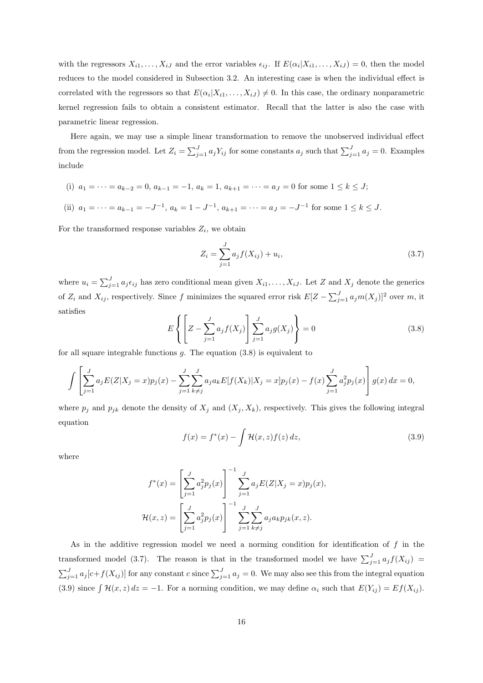with the regressors  $X_{i1}, \ldots, X_{iJ}$  and the error variables  $\epsilon_{ij}$ . If  $E(\alpha_i | X_{i1}, \ldots, X_{iJ}) = 0$ , then the model reduces to the model considered in Subsection 3.2. An interesting case is when the individual effect is correlated with the regressors so that  $E(\alpha_i | X_{i1},...,X_{iJ}) \neq 0$ . In this case, the ordinary nonparametric kernel regression fails to obtain a consistent estimator. Recall that the latter is also the case with parametric linear regression.

Here again, we may use a simple linear transformation to remove the unobserved individual effect from the regression model. Let  $Z_i = \sum_{j=1}^J a_j Y_{ij}$  for some constants  $a_j$  such that  $\sum_{j=1}^J a_j = 0$ . Examples include

(i)  $a_1 = \cdots = a_{k-2} = 0, a_{k-1} = -1, a_k = 1, a_{k+1} = \cdots = a_J = 0$  for some  $1 \le k \le J$ ;

(ii) 
$$
a_1 = \cdots = a_{k-1} = -J^{-1}
$$
,  $a_k = 1 - J^{-1}$ ,  $a_{k+1} = \cdots = a_J = -J^{-1}$  for some  $1 \le k \le J$ .

For the transformed response variables  $Z_i$ , we obtain

$$
Z_i = \sum_{j=1}^{J} a_j f(X_{ij}) + u_i,
$$
\n(3.7)

where  $u_i = \sum_{j=1}^J a_j \epsilon_{ij}$  has zero conditional mean given  $X_{i1}, \ldots, X_{iJ}$ . Let Z and  $X_j$  denote the generics of  $Z_i$  and  $X_{ij}$ , respectively. Since f minimizes the squared error risk  $E[Z - \sum_{j=1}^{J} a_j m(X_j)]^2$  over m, it satisfies

$$
E\left\{ \left[ Z - \sum_{j=1}^{J} a_j f(X_j) \right] \sum_{j=1}^{J} a_j g(X_j) \right\} = 0
$$
\n(3.8)

for all square integrable functions  $g$ . The equation  $(3.8)$  is equivalent to

$$
\int \left[ \sum_{j=1}^{J} a_j E(Z|X_j = x) p_j(x) - \sum_{j=1}^{J} \sum_{k \neq j}^{J} a_j a_k E[f(X_k)|X_j = x] p_j(x) - f(x) \sum_{j=1}^{J} a_j^2 p_j(x) \right] g(x) dx = 0,
$$

where  $p_j$  and  $p_{jk}$  denote the density of  $X_j$  and  $(X_j, X_k)$ , respectively. This gives the following integral equation

$$
f(x) = f^*(x) - \int \mathcal{H}(x, z) f(z) dz,
$$
\n(3.9)

where

$$
f^*(x) = \left[\sum_{j=1}^J a_j^2 p_j(x)\right]^{-1} \sum_{j=1}^J a_j E(Z|X_j = x) p_j(x),
$$
  

$$
\mathcal{H}(x, z) = \left[\sum_{j=1}^J a_j^2 p_j(x)\right]^{-1} \sum_{j=1}^J \sum_{k \neq j}^J a_j a_k p_{jk}(x, z).
$$

As in the additive regression model we need a norming condition for identification of  $f$  in the transformed model (3.7). The reason is that in the transformed model we have  $\sum_{j=1}^{J} a_j f(X_{ij}) =$  $\sum_{j=1}^{J} a_j [c+f(X_{ij})]$  for any constant c since  $\sum_{j=1}^{J} a_j = 0$ . We may also see this from the integral equation (3.9) since  $\int \mathcal{H}(x, z) dz = -1$ . For a norming condition, we may define  $\alpha_i$  such that  $E(Y_{ij}) = Ef(X_{ij})$ .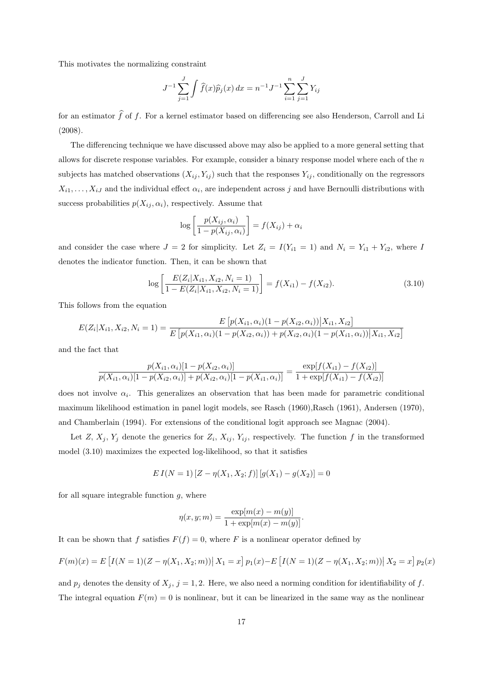This motivates the normalizing constraint

$$
J^{-1} \sum_{j=1}^{J} \int \hat{f}(x)\hat{p}_j(x) dx = n^{-1}J^{-1} \sum_{i=1}^{n} \sum_{j=1}^{J} Y_{ij}
$$

for an estimator  $\widehat{f}$  of f. For a kernel estimator based on differencing see also Henderson, Carroll and Li (2008).

The differencing technique we have discussed above may also be applied to a more general setting that allows for discrete response variables. For example, consider a binary response model where each of the  $n$ subjects has matched observations  $(X_{ij}, Y_{ij})$  such that the responses  $Y_{ij}$ , conditionally on the regressors  $X_{i1}, \ldots, X_{iJ}$  and the individual effect  $\alpha_i$ , are independent across j and have Bernoulli distributions with success probabilities  $p(X_{ij}, \alpha_i)$ , respectively. Assume that

$$
\log\left[\frac{p(X_{ij}, \alpha_i)}{1 - p(X_{ij}, \alpha_i)}\right] = f(X_{ij}) + \alpha_i
$$

and consider the case where  $J = 2$  for simplicity. Let  $Z_i = I(Y_{i1} = 1)$  and  $N_i = Y_{i1} + Y_{i2}$ , where I denotes the indicator function. Then, it can be shown that

$$
\log\left[\frac{E(Z_i|X_{i1}, X_{i2}, N_i=1)}{1 - E(Z_i|X_{i1}, X_{i2}, N_i=1)}\right] = f(X_{i1}) - f(X_{i2}).
$$
\n(3.10)

This follows from the equation

$$
E(Z_i|X_{i1}, X_{i2}, N_i = 1) = \frac{E\left[p(X_{i1}, \alpha_i)(1 - p(X_{i2}, \alpha_i))|X_{i1}, X_{i2}\right]}{E\left[p(X_{i1}, \alpha_i)(1 - p(X_{i2}, \alpha_i)) + p(X_{i2}, \alpha_i)(1 - p(X_{i1}, \alpha_i))|X_{i1}, X_{i2}\right]}
$$

and the fact that

$$
\frac{p(X_{i1}, \alpha_i)[1 - p(X_{i2}, \alpha_i)]}{p(X_{i1}, \alpha_i)[1 - p(X_{i2}, \alpha_i)] + p(X_{i2}, \alpha_i)[1 - p(X_{i1}, \alpha_i)]} = \frac{\exp[f(X_{i1}) - f(X_{i2})]}{1 + \exp[f(X_{i1}) - f(X_{i2})]}
$$

does not involve  $\alpha_i$ . This generalizes an observation that has been made for parametric conditional maximum likelihood estimation in panel logit models, see Rasch (1960),Rasch (1961), Andersen (1970), and Chamberlain (1994). For extensions of the conditional logit approach see Magnac (2004).

Let  $Z, X_j, Y_j$  denote the generics for  $Z_i, X_{ij}, Y_{ij}$ , respectively. The function f in the transformed model (3.10) maximizes the expected log-likelihood, so that it satisfies

$$
E I(N = 1) [Z - \eta(X_1, X_2; f)] [g(X_1) - g(X_2)] = 0
$$

for all square integrable function  $g$ , where

$$
\eta(x, y; m) = \frac{\exp[m(x) - m(y)]}{1 + \exp[m(x) - m(y)]}.
$$

It can be shown that f satisfies  $F(f) = 0$ , where F is a nonlinear operator defined by

$$
F(m)(x) = E[I(N = 1)(Z - \eta(X_1, X_2; m))]X_1 = x] p_1(x) - E[I(N = 1)(Z - \eta(X_1, X_2; m))]X_2 = x] p_2(x)
$$

and  $p_j$  denotes the density of  $X_j$ ,  $j = 1, 2$ . Here, we also need a norming condition for identifiability of f. The integral equation  $F(m) = 0$  is nonlinear, but it can be linearized in the same way as the nonlinear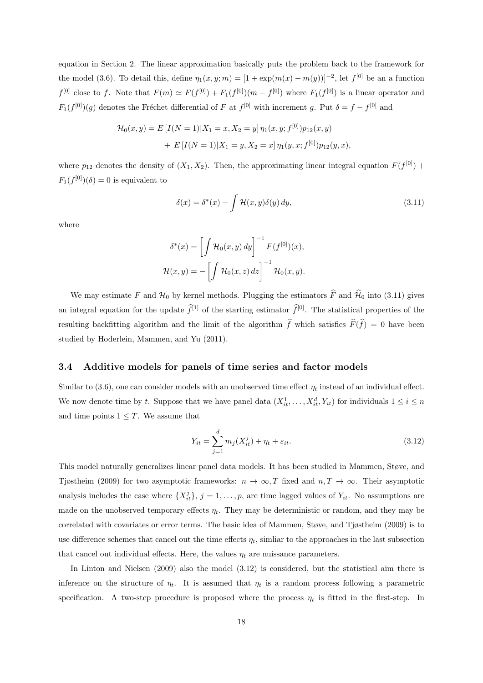equation in Section 2. The linear approximation basically puts the problem back to the framework for the model (3.6). To detail this, define  $\eta_1(x, y; m) = [1 + \exp(m(x) - m(y))]^{-2}$ , let  $f^{[0]}$  be an a function  $f^{[0]}$  close to f. Note that  $F(m) \simeq F(f^{[0]}) + F_1(f^{[0]})(m - f^{[0]})$  where  $F_1(f^{[0]})$  is a linear operator and  $F_1(f^{[0]})(g)$  denotes the Fréchet differential of F at  $f^{[0]}$  with increment g. Put  $\delta = f - f^{[0]}$  and

$$
\mathcal{H}_0(x, y) = E[I(N = 1)|X_1 = x, X_2 = y] \eta_1(x, y; f^{[0]}) p_{12}(x, y)
$$

$$
+ E[I(N = 1)|X_1 = y, X_2 = x] \eta_1(y, x; f^{[0]}) p_{12}(y, x),
$$

where  $p_{12}$  denotes the density of  $(X_1, X_2)$ . Then, the approximating linear integral equation  $F(f^{[0]})$  +  $F_1(f^{[0]})(\delta) = 0$  is equivalent to

$$
\delta(x) = \delta^*(x) - \int \mathcal{H}(x, y)\delta(y) \, dy,\tag{3.11}
$$

where

$$
\delta^*(x) = \left[ \int \mathcal{H}_0(x, y) dy \right]^{-1} F(f^{[0]})(x),
$$
  

$$
\mathcal{H}(x, y) = - \left[ \int \mathcal{H}_0(x, z) dz \right]^{-1} \mathcal{H}_0(x, y).
$$

We may estimate F and  $\mathcal{H}_0$  by kernel methods. Plugging the estimators  $\hat{F}$  and  $\hat{\mathcal{H}}_0$  into (3.11) gives an integral equation for the update  $\hat{f}^{[1]}$  of the starting estimator  $\hat{f}^{[0]}$ . The statistical properties of the resulting backfitting algorithm and the limit of the algorithm  $\hat{f}$  which satisfies  $\hat{F}(\hat{f}) = 0$  have been studied by Hoderlein, Mammen, and Yu (2011).

#### 3.4 Additive models for panels of time series and factor models

Similar to (3.6), one can consider models with an unobserved time effect  $\eta_t$  instead of an individual effect. We now denote time by t. Suppose that we have panel data  $(X_{it}^1, \ldots, X_{it}^d, Y_{it})$  for individuals  $1 \le i \le n$ and time points  $1 \leq T$ . We assume that

$$
Y_{it} = \sum_{j=1}^{d} m_j (X_{it}^j) + \eta_t + \varepsilon_{it}.
$$
\n(3.12)

This model naturally generalizes linear panel data models. It has been studied in Mammen, Støve, and Tjøstheim (2009) for two asymptotic frameworks:  $n \to \infty$ , T fixed and  $n, T \to \infty$ . Their asymptotic analysis includes the case where  $\{X_{it}^j\}, j = 1, \ldots, p$ , are time lagged values of  $Y_{it}$ . No assumptions are made on the unobserved temporary effects  $\eta_t$ . They may be deterministic or random, and they may be correlated with covariates or error terms. The basic idea of Mammen, Støve, and Tjøstheim (2009) is to use difference schemes that cancel out the time effects  $\eta_t$ , similar to the approaches in the last subsection that cancel out individual effects. Here, the values  $\eta_t$  are nuissance parameters.

In Linton and Nielsen (2009) also the model (3.12) is considered, but the statistical aim there is inference on the structure of  $\eta_t$ . It is assumed that  $\eta_t$  is a random process following a parametric specification. A two-step procedure is proposed where the process  $\eta_t$  is fitted in the first-step. In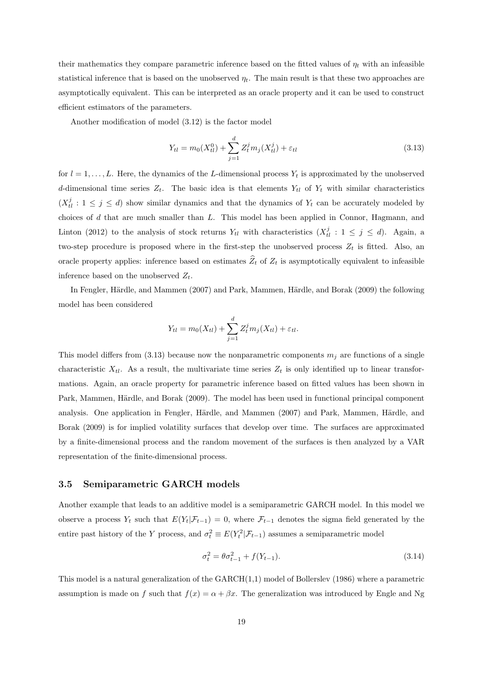their mathematics they compare parametric inference based on the fitted values of  $\eta_t$  with an infeasible statistical inference that is based on the unobserved  $\eta_t$ . The main result is that these two approaches are asymptotically equivalent. This can be interpreted as an oracle property and it can be used to construct efficient estimators of the parameters.

Another modification of model (3.12) is the factor model

$$
Y_{tl} = m_0(X_{tl}^0) + \sum_{j=1}^d Z_t^j m_j(X_{tl}^j) + \varepsilon_{tl}
$$
\n(3.13)

for  $l = 1, \ldots, L$ . Here, the dynamics of the L-dimensional process  $Y_t$  is approximated by the unobserved d-dimensional time series  $Z_t$ . The basic idea is that elements  $Y_{tl}$  of  $Y_t$  with similar characteristics  $(X_{tl}^j : 1 \leq j \leq d)$  show similar dynamics and that the dynamics of  $Y_t$  can be accurately modeled by choices of  $d$  that are much smaller than  $L$ . This model has been applied in Connor, Hagmann, and Linton (2012) to the analysis of stock returns  $Y_{tl}$  with characteristics  $(X_{tl}^j : 1 \le j \le d)$ . Again, a two-step procedure is proposed where in the first-step the unobserved process  $Z_t$  is fitted. Also, an oracle property applies: inference based on estimates  $\hat{Z}_t$  of  $Z_t$  is asymptotically equivalent to infeasible inference based on the unobserved  $Z_t$ .

In Fengler, Härdle, and Mammen (2007) and Park, Mammen, Härdle, and Borak (2009) the following model has been considered

$$
Y_{tl} = m_0(X_{tl}) + \sum_{j=1}^d Z_t^j m_j(X_{tl}) + \varepsilon_{tl}.
$$

This model differs from  $(3.13)$  because now the nonparametric components  $m_j$  are functions of a single characteristic  $X_{tl}$ . As a result, the multivariate time series  $Z_t$  is only identified up to linear transformations. Again, an oracle property for parametric inference based on fitted values has been shown in Park, Mammen, Härdle, and Borak (2009). The model has been used in functional principal component analysis. One application in Fengler, Härdle, and Mammen (2007) and Park, Mammen, Härdle, and Borak (2009) is for implied volatility surfaces that develop over time. The surfaces are approximated by a finite-dimensional process and the random movement of the surfaces is then analyzed by a VAR representation of the finite-dimensional process.

#### 3.5 Semiparametric GARCH models

Another example that leads to an additive model is a semiparametric GARCH model. In this model we observe a process  $Y_t$  such that  $E(Y_t|\mathcal{F}_{t-1}) = 0$ , where  $\mathcal{F}_{t-1}$  denotes the sigma field generated by the entire past history of the Y process, and  $\sigma_t^2 \equiv E(Y_t^2 | \mathcal{F}_{t-1})$  assumes a semiparametric model

$$
\sigma_t^2 = \theta \sigma_{t-1}^2 + f(Y_{t-1}). \tag{3.14}
$$

This model is a natural generalization of the GARCH(1,1) model of Bollerslev (1986) where a parametric assumption is made on f such that  $f(x) = \alpha + \beta x$ . The generalization was introduced by Engle and Ng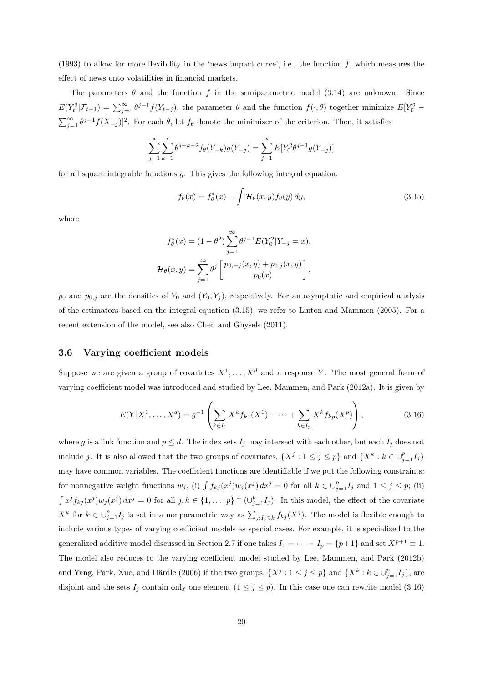(1993) to allow for more flexibility in the 'news impact curve', i.e., the function  $f$ , which measures the effect of news onto volatilities in financial markets.

The parameters  $\theta$  and the function f in the semiparametric model (3.14) are unknown.  $E(Y_t^2|\mathcal{F}_{t-1}) = \sum_{j=1}^{\infty} \theta^{j-1} f(Y_{t-j}),$  the parameter  $\theta$  and the function  $f(\cdot,\theta)$  together minimize  $E[Y_0^2 \sum_{j=1}^{\infty} \theta^{j-1} f(X_{-j})^2$ . For each  $\theta$ , let  $f_{\theta}$  denote the minimizer of the criterion. Then, it satisfies

$$
\sum_{j=1}^{\infty} \sum_{k=1}^{\infty} \theta^{j+k-2} f_{\theta}(Y_{-k}) g(Y_{-j}) = \sum_{j=1}^{\infty} E[Y_0^2 \theta^{j-1} g(Y_{-j})]
$$

for all square integrable functions g. This gives the following integral equation.

$$
f_{\theta}(x) = f_{\theta}^{*}(x) - \int \mathcal{H}_{\theta}(x, y) f_{\theta}(y) dy,
$$
\n(3.15)

where

$$
f_{\theta}^{*}(x) = (1 - \theta^{2}) \sum_{j=1}^{\infty} \theta^{j-1} E(Y_{0}^{2}|Y_{-j} = x),
$$
  

$$
\mathcal{H}_{\theta}(x, y) = \sum_{j=1}^{\infty} \theta^{j} \left[ \frac{p_{0,-j}(x, y) + p_{0,j}(x, y)}{p_{0}(x)} \right],
$$

 $p_0$  and  $p_{0,j}$  are the densities of  $Y_0$  and  $(Y_0, Y_j)$ , respectively. For an asymptotic and empirical analysis of the estimators based on the integral equation (3.15), we refer to Linton and Mammen (2005). For a recent extension of the model, see also Chen and Ghysels (2011).

#### 3.6 Varying coefficient models

Suppose we are given a group of covariates  $X^1, \ldots, X^d$  and a response Y. The most general form of varying coefficient model was introduced and studied by Lee, Mammen, and Park (2012a). It is given by

$$
E(Y|X^1, \dots, X^d) = g^{-1} \left( \sum_{k \in I_1} X^k f_{k1}(X^1) + \dots + \sum_{k \in I_p} X^k f_{kp}(X^p) \right), \tag{3.16}
$$

where g is a link function and  $p \leq d$ . The index sets  $I_j$  may intersect with each other, but each  $I_j$  does not include j. It is also allowed that the two groups of covariates,  $\{X^j : 1 \le j \le p\}$  and  $\{X^k : k \in \bigcup_{j=1}^p I_j\}$ may have common variables. The coefficient functions are identifiable if we put the following constraints: for nonnegative weight functions  $w_j$ , (i)  $\int f_{kj}(x^j)w_j(x^j) dx^j = 0$  for all  $k \in \bigcup_{j=1}^p I_j$  and  $1 \le j \le p$ ; (ii)  $\int x^j f_{kj}(x^j) w_j(x^j) dx^j = 0$  for all  $j, k \in \{1, ..., p\} \cap \left(\bigcup_{j=1}^p I_j\right)$ . In this model, the effect of the covariate  $X^k$  for  $k \in \bigcup_{j=1}^p I_j$  is set in a nonparametric way as  $\sum_{j:I_j\supset k} f_{kj}(X^j)$ . The model is flexible enough to include various types of varying coefficient models as special cases. For example, it is specialized to the generalized additive model discussed in Section 2.7 if one takes  $I_1 = \cdots = I_p = \{p+1\}$  and set  $X^{p+1} \equiv 1$ . The model also reduces to the varying coefficient model studied by Lee, Mammen, and Park (2012b) and Yang, Park, Xue, and Härdle (2006) if the two groups,  $\{X^j : 1 \le j \le p\}$  and  $\{X^k : k \in \bigcup_{j=1}^p I_j\}$ , are disjoint and the sets  $I_j$  contain only one element  $(1 \leq j \leq p)$ . In this case one can rewrite model (3.16)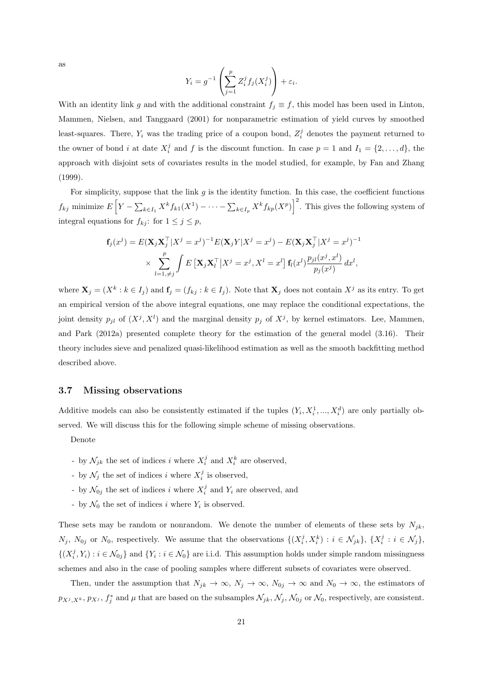as

$$
Y_i = g^{-1}\left(\sum_{j=1}^p Z_i^j f_j(X_i^j)\right) + \varepsilon_i.
$$

With an identity link g and with the additional constraint  $f_j \equiv f$ , this model has been used in Linton, Mammen, Nielsen, and Tanggaard (2001) for nonparametric estimation of yield curves by smoothed least-squares. There,  $Y_i$  was the trading price of a coupon bond,  $Z_i^j$  denotes the payment returned to the owner of bond i at date  $X_i^j$  and f is the discount function. In case  $p = 1$  and  $I_1 = \{2, ..., d\}$ , the approach with disjoint sets of covariates results in the model studied, for example, by Fan and Zhang (1999).

For simplicity, suppose that the link  $g$  is the identity function. In this case, the coefficient functions  $f_{kj}$  minimize  $E\left[Y-\sum_{k\in I_1}X^kf_{k1}(X^1)-\cdots-\sum_{k\in I_p}X^kf_{kp}(X^p)\right]^2$ . This gives the following system of integral equations for  $f_{kj}$ : for  $1 \leq j \leq p$ ,

$$
\mathbf{f}_j(x^j) = E(\mathbf{X}_j \mathbf{X}_j^\top | X^j = x^j)^{-1} E(\mathbf{X}_j Y | X^j = x^j) - E(\mathbf{X}_j \mathbf{X}_j^\top | X^j = x^j)^{-1}
$$

$$
\times \sum_{l=1, \neq j}^p \int E\left[\mathbf{X}_j \mathbf{X}_l^\top | X^j = x^j, X^l = x^l\right] \mathbf{f}_l(x^l) \frac{p_{jl}(x^j, x^l)}{p_j(x^j)} dx^l,
$$

where  $\mathbf{X}_j = (X^k : k \in I_j)$  and  $\mathbf{f}_j = (f_{kj} : k \in I_j)$ . Note that  $\mathbf{X}_j$  does not contain  $X^j$  as its entry. To get an empirical version of the above integral equations, one may replace the conditional expectations, the joint density  $p_{jl}$  of  $(X^j, X^l)$  and the marginal density  $p_j$  of  $X^j$ , by kernel estimators. Lee, Mammen, and Park (2012a) presented complete theory for the estimation of the general model (3.16). Their theory includes sieve and penalized quasi-likelihood estimation as well as the smooth backfitting method described above.

#### 3.7 Missing observations

Additive models can also be consistently estimated if the tuples  $(Y_i, X_i^1, ..., X_i^d)$  are only partially observed. We will discuss this for the following simple scheme of missing observations.

Denote

- by  $\mathcal{N}_{jk}$  the set of indices i where  $X_i^j$  and  $X_i^k$  are observed,
- by  $\mathcal{N}_j$  the set of indices i where  $X_i^j$  is observed,
- by  $\mathcal{N}_{0j}$  the set of indices i where  $X_i^j$  and  $Y_i$  are observed, and
- by  $\mathcal{N}_0$  the set of indices i where  $Y_i$  is observed.

These sets may be random or nonrandom. We denote the number of elements of these sets by  $N_{jk}$ ,  $N_j$ ,  $N_{0j}$  or  $N_0$ , respectively. We assume that the observations  $\{(X_i^j, X_i^k) : i \in \mathcal{N}_{jk}\},\{X_i^j : i \in \mathcal{N}_j\},\$  $\{(X_i^j, Y_i) : i \in \mathcal{N}_{0j}\}\$ and  $\{Y_i : i \in \mathcal{N}_0\}$  are i.i.d. This assumption holds under simple random missingness schemes and also in the case of pooling samples where different subsets of covariates were observed.

Then, under the assumption that  $N_{jk} \to \infty$ ,  $N_j \to \infty$ ,  $N_{0j} \to \infty$  and  $N_0 \to \infty$ , the estimators of  $p_{X^j, X^k}$ ,  $p_{X^j}$ ,  $f_j^*$  and  $\mu$  that are based on the subsamples  $\mathcal{N}_{jk}$ ,  $\mathcal{N}_j$ ,  $\mathcal{N}_{0j}$  or  $\mathcal{N}_0$ , respectively, are consistent.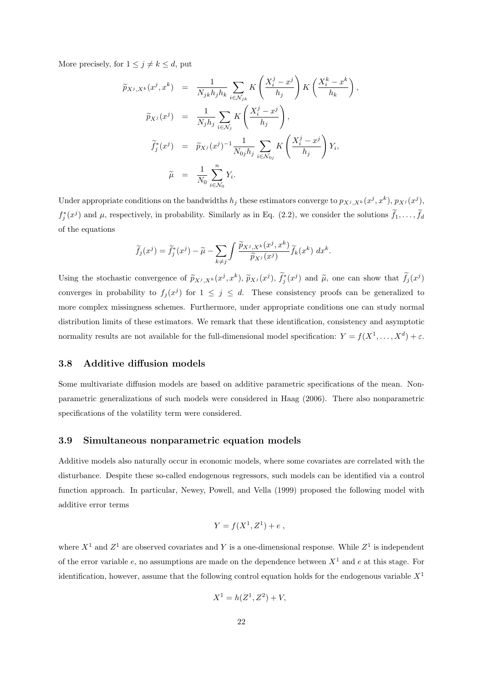More precisely, for  $1 \leq j \neq k \leq d$ , put

$$
\widetilde{p}_{X^j, X^k}(x^j, x^k) = \frac{1}{N_{jk}h_jh_k} \sum_{i \in \mathcal{N}_{jk}} K\left(\frac{X_i^j - x^j}{h_j}\right) K\left(\frac{X_i^k - x^k}{h_k}\right),
$$
\n
$$
\widetilde{p}_{X^j}(x^j) = \frac{1}{N_jh_j} \sum_{i \in \mathcal{N}_j} K\left(\frac{X_i^j - x^j}{h_j}\right),
$$
\n
$$
\widetilde{f}_j^*(x^j) = \widetilde{p}_{X^j}(x^j)^{-1} \frac{1}{N_{0j}h_j} \sum_{i \in \mathcal{N}_{0j}} K\left(\frac{X_i^j - x^j}{h_j}\right) Y_i,
$$
\n
$$
\widetilde{\mu} = \frac{1}{N_0} \sum_{i \in \mathcal{N}_0}^n Y_i.
$$

Under appropriate conditions on the bandwidths  $h_j$  these estimators converge to  $p_{X^j, X^k}(x^j, x^k)$ ,  $p_{X^j}(x^j)$ ,  $f_j^*(x^j)$  and  $\mu$ , respectively, in probability. Similarly as in Eq. (2.2), we consider the solutions  $\tilde{f}_1, \ldots, \tilde{f}_d$ of the equations

$$
\widetilde{f}_j(x^j) = \widetilde{f}_j^*(x^j) - \widetilde{\mu} - \sum_{k \neq j} \int \frac{\widetilde{p}_{X^j, X^k}(x^j, x^k)}{\widetilde{p}_{X^j}(x^j)} \widetilde{f}_k(x^k) dx^k.
$$

Using the stochastic convergence of  $\tilde{p}_{X^j, X^k}(x^j, x^k)$ ,  $\tilde{p}_{X^j}(x^j)$ ,  $\tilde{f}_j^*(x^j)$  and  $\tilde{\mu}$ , one can show that  $\tilde{f}_j(x^j)$ converges in probability to  $f_j(x^j)$  for  $1 \leq j \leq d$ . These consistency proofs can be generalized to more complex missingness schemes. Furthermore, under appropriate conditions one can study normal distribution limits of these estimators. We remark that these identification, consistency and asymptotic normality results are not available for the full-dimensional model specification:  $Y = f(X^1, \ldots, X^d) + \varepsilon$ .

#### 3.8 Additive diffusion models

Some multivariate diffusion models are based on additive parametric specifications of the mean. Nonparametric generalizations of such models were considered in Haag (2006). There also nonparametric specifications of the volatility term were considered.

### 3.9 Simultaneous nonparametric equation models

Additive models also naturally occur in economic models, where some covariates are correlated with the disturbance. Despite these so-called endogenous regressors, such models can be identified via a control function approach. In particular, Newey, Powell, and Vella (1999) proposed the following model with additive error terms

$$
Y = f(X^1, Z^1) + e
$$

where  $X^1$  and  $Z^1$  are observed covariates and Y is a one-dimensional response. While  $Z^1$  is independent of the error variable e, no assumptions are made on the dependence between  $X<sup>1</sup>$  and e at this stage. For identification, however, assume that the following control equation holds for the endogenous variable  $X<sup>1</sup>$ 

$$
X^1 = h(Z^1, Z^2) + V,
$$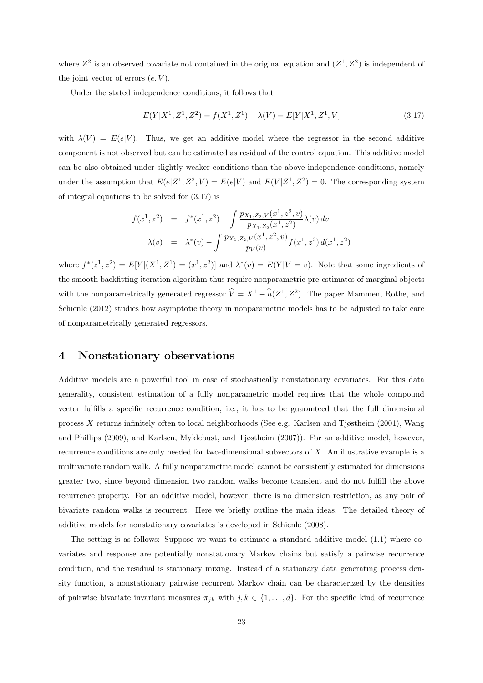where  $Z^2$  is an observed covariate not contained in the original equation and  $(Z^1, Z^2)$  is independent of the joint vector of errors  $(e, V)$ .

Under the stated independence conditions, it follows that

$$
E(Y|X^1, Z^1, Z^2) = f(X^1, Z^1) + \lambda(V) = E[Y|X^1, Z^1, V]
$$
\n(3.17)

with  $\lambda(V) = E(e|V)$ . Thus, we get an additive model where the regressor in the second additive component is not observed but can be estimated as residual of the control equation. This additive model can be also obtained under slightly weaker conditions than the above independence conditions, namely under the assumption that  $E(e|Z^1, Z^2, V) = E(e|V)$  and  $E(V|Z^1, Z^2) = 0$ . The corresponding system of integral equations to be solved for (3.17) is

$$
f(x^1, z^2) = f^*(x^1, z^2) - \int \frac{p_{X_1, Z_2, V}(x^1, z^2, v)}{p_{X_1, Z_2}(x^1, z^2)} \lambda(v) dv
$$
  

$$
\lambda(v) = \lambda^*(v) - \int \frac{p_{X_1, Z_2, V}(x^1, z^2, v)}{p_V(v)} f(x^1, z^2) d(x^1, z^2)
$$

where  $f^*(z^1, z^2) = E[Y|(X^1, Z^1) = (x^1, z^2)]$  and  $\lambda^*(v) = E(Y|V = v)$ . Note that some ingredients of the smooth backfitting iteration algorithm thus require nonparametric pre-estimates of marginal objects with the nonparametrically generated regressor  $\hat{V} = X^1 - \hat{h}(Z^1, Z^2)$ . The paper Mammen, Rothe, and Schienle (2012) studies how asymptotic theory in nonparametric models has to be adjusted to take care of nonparametrically generated regressors.

### 4 Nonstationary observations

Additive models are a powerful tool in case of stochastically nonstationary covariates. For this data generality, consistent estimation of a fully nonparametric model requires that the whole compound vector fulfills a specific recurrence condition, i.e., it has to be guaranteed that the full dimensional process X returns infinitely often to local neighborhoods (See e.g. Karlsen and Tjøstheim (2001), Wang and Phillips (2009), and Karlsen, Myklebust, and Tjøstheim (2007)). For an additive model, however, recurrence conditions are only needed for two-dimensional subvectors of X. An illustrative example is a multivariate random walk. A fully nonparametric model cannot be consistently estimated for dimensions greater two, since beyond dimension two random walks become transient and do not fulfill the above recurrence property. For an additive model, however, there is no dimension restriction, as any pair of bivariate random walks is recurrent. Here we briefly outline the main ideas. The detailed theory of additive models for nonstationary covariates is developed in Schienle (2008).

The setting is as follows: Suppose we want to estimate a standard additive model (1.1) where covariates and response are potentially nonstationary Markov chains but satisfy a pairwise recurrence condition, and the residual is stationary mixing. Instead of a stationary data generating process density function, a nonstationary pairwise recurrent Markov chain can be characterized by the densities of pairwise bivariate invariant measures  $\pi_{jk}$  with  $j, k \in \{1, ..., d\}$ . For the specific kind of recurrence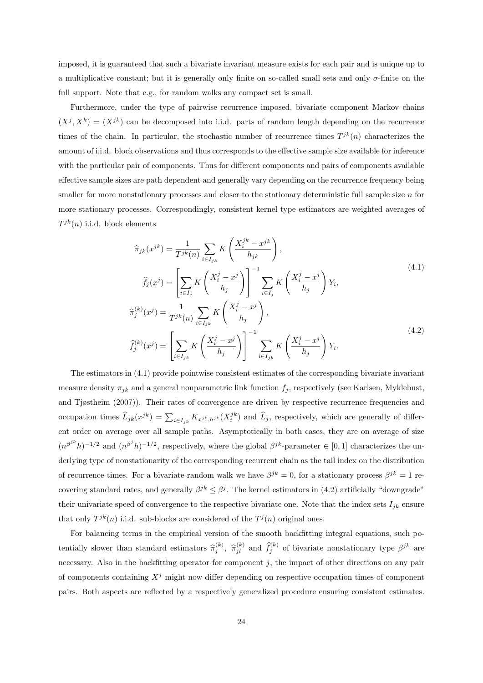imposed, it is guaranteed that such a bivariate invariant measure exists for each pair and is unique up to a multiplicative constant; but it is generally only finite on so-called small sets and only  $\sigma$ -finite on the full support. Note that e.g., for random walks any compact set is small.

Furthermore, under the type of pairwise recurrence imposed, bivariate component Markov chains  $(X^{j}, X^{k}) = (X^{jk})$  can be decomposed into i.i.d. parts of random length depending on the recurrence times of the chain. In particular, the stochastic number of recurrence times  $T^{jk}(n)$  characterizes the amount of i.i.d. block observations and thus corresponds to the effective sample size available for inference with the particular pair of components. Thus for different components and pairs of components available effective sample sizes are path dependent and generally vary depending on the recurrence frequency being smaller for more nonstationary processes and closer to the stationary deterministic full sample size  $n$  for more stationary processes. Correspondingly, consistent kernel type estimators are weighted averages of  $T^{jk}(n)$  i.i.d. block elements

$$
\widehat{\pi}_{jk}(x^{jk}) = \frac{1}{T^{jk}(n)} \sum_{i \in I_{jk}} K\left(\frac{X_i^{jk} - x^{jk}}{h_{jk}}\right),
$$
\n
$$
\widehat{f}_j(x^j) = \left[\sum_{i \in I_j} K\left(\frac{X_i^j - x^j}{h_j}\right)\right]^{-1} \sum_{i \in I_j} K\left(\frac{X_i^j - x^j}{h_j}\right) Y_i,
$$
\n
$$
\widehat{\pi}_j^{(k)}(x^j) = \frac{1}{T^{jk}(n)} \sum_{i \in I_{jk}} K\left(\frac{X_i^j - x^j}{h_j}\right),
$$
\n
$$
\widehat{f}_j^{(k)}(x^j) = \left[\sum_{i \in I_{jk}} K\left(\frac{X_i^j - x^j}{h_j}\right)\right]^{-1} \sum_{i \in I_{jk}} K\left(\frac{X_i^j - x^j}{h_j}\right) Y_i.
$$
\n(4.2)

The estimators in (4.1) provide pointwise consistent estimates of the corresponding bivariate invariant measure density  $\pi_{jk}$  and a general nonparametric link function  $f_j$ , respectively (see Karlsen, Myklebust, and Tjøstheim (2007)). Their rates of convergence are driven by respective recurrence frequencies and occupation times  $\widehat{L}_{jk}(x^{jk}) = \sum_{i \in I_{jk}} K_{x^{jk},h^{jk}}(X_i^{jk})$  and  $\widehat{L}_j$ , respectively, which are generally of different order on average over all sample paths. Asymptotically in both cases, they are on average of size  $(n^{\beta^{j k}}h)^{-1/2}$  and  $(n^{\beta^{j}}h)^{-1/2}$ , respectively, where the global  $\beta^{j k}$ -parameter  $\in [0,1]$  characterizes the underlying type of nonstationarity of the corresponding recurrent chain as the tail index on the distribution of recurrence times. For a bivariate random walk we have  $\beta^{jk} = 0$ , for a stationary process  $\beta^{jk} = 1$  recovering standard rates, and generally  $\beta^{jk} \leq \beta^j$ . The kernel estimators in (4.2) artificially "downgrade" their univariate speed of convergence to the respective bivariate one. Note that the index sets  $I_{jk}$  ensure that only  $T^{jk}(n)$  i.i.d. sub-blocks are considered of the  $T^{j}(n)$  original ones.

For balancing terms in the empirical version of the smooth backfitting integral equations, such potentially slower than standard estimators  $\hat{\pi}_j^{(k)}$ ,  $\hat{\pi}_{jl}^{(k)}$  and  $\hat{f}_j^{(k)}$  of bivariate nonstationary type  $\beta^{jk}$  are necessary. Also in the backfitting operator for component  $j$ , the impact of other directions on any pair of components containing  $X^j$  might now differ depending on respective occupation times of component pairs. Both aspects are reflected by a respectively generalized procedure ensuring consistent estimates.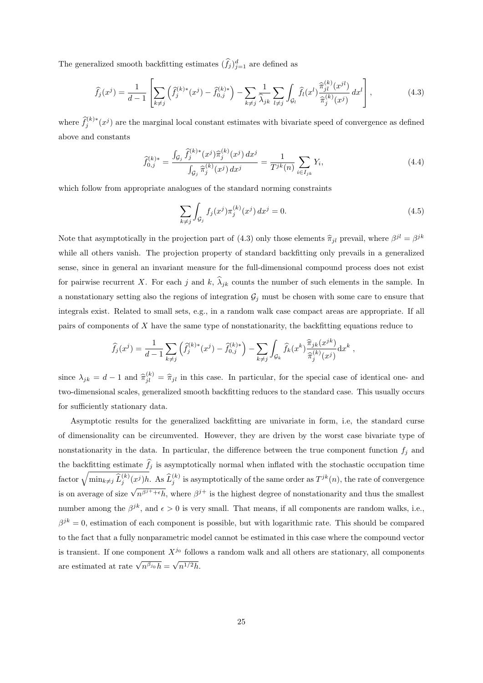The generalized smooth backfitting estimates  $(\hat{f}_j)_{j=1}^d$  are defined as

$$
\widehat{f}_j(x^j) = \frac{1}{d-1} \left[ \sum_{k \neq j} \left( \widehat{f}_j^{(k)*}(x^j) - \widehat{f}_{0,j}^{(k)*} \right) - \sum_{k \neq j} \frac{1}{\widehat{\lambda}_{jk}} \sum_{l \neq j} \int_{\mathcal{G}_l} \widehat{f}_l(x^l) \frac{\widehat{\pi}_{jl}^{(k)}(x^{jl})}{\widehat{\pi}_{j}^{(k)}(x^j)} dx^l \right],
$$
\n(4.3)

where  $\hat{f}_j^{(k)*}(x^j)$  are the marginal local constant estimates with bivariate speed of convergence as defined above and constants

$$
\widehat{f}_{0,j}^{(k)*} = \frac{\int_{\mathcal{G}_j} \widehat{f}_j^{(k)*}(x^j) \widehat{\pi}_j^{(k)}(x^j) dx^j}{\int_{\mathcal{G}_j} \widehat{\pi}_j^{(k)}(x^j) dx^j} = \frac{1}{T^{jk}(n)} \sum_{i \in I_{jk}} Y_i,
$$
\n(4.4)

which follow from appropriate analogues of the standard norming constraints

$$
\sum_{k \neq j} \int_{\mathcal{G}_j} f_j(x^j) \pi_j^{(k)}(x^j) dx^j = 0.
$$
\n(4.5)

Note that asymptotically in the projection part of (4.3) only those elements  $\hat{\pi}_{jl}$  prevail, where  $\beta^{jl} = \beta^{jk}$ while all others vanish. The projection property of standard backfitting only prevails in a generalized sense, since in general an invariant measure for the full-dimensional compound process does not exist for pairwise recurrent X. For each j and k,  $\hat{\lambda}_{jk}$  counts the number of such elements in the sample. In a nonstationary setting also the regions of integration  $G_i$  must be chosen with some care to ensure that integrals exist. Related to small sets, e.g., in a random walk case compact areas are appropriate. If all pairs of components of  $X$  have the same type of nonstationarity, the backfitting equations reduce to

$$
\widehat{f}_j(x^j) = \frac{1}{d-1} \sum_{k \neq j} \left( \widehat{f}_j^{(k)*}(x^j) - \widehat{f}_{0,j}^{(k)*} \right) - \sum_{k \neq j} \int_{\mathcal{G}_k} \widehat{f}_k(x^k) \frac{\widehat{\pi}_{jk}(x^{jk})}{\widehat{\pi}_{j}^{(k)}(x^j)} dx^k,
$$

since  $\lambda_{jk} = d - 1$  and  $\hat{\pi}_{jl}^{(k)} = \hat{\pi}_{jl}$  in this case. In particular, for the special case of identical one- and two-dimensional scales, generalized smooth backfitting reduces to the standard case. This usually occurs for sufficiently stationary data.

Asymptotic results for the generalized backfitting are univariate in form, i.e, the standard curse of dimensionality can be circumvented. However, they are driven by the worst case bivariate type of nonstationarity in the data. In particular, the difference between the true component function  $f_i$  and the backfitting estimate  $\hat{f}_j$  is asymptotically normal when inflated with the stochastic occupation time factor  $\sqrt{\min_{k\neq j}\hat{L}_{j}^{(k)}(x^{j})h}$ . As  $\hat{L}_{j}^{(k)}$  is asymptotically of the same order as  $T^{jk}(n)$ , the rate of convergence is on average of size  $\sqrt{n^{\beta^{j+}+\epsilon}h}$ , where  $\beta^{j+}$  is the highest degree of nonstationarity and thus the smallest number among the  $\beta^{jk}$ , and  $\epsilon > 0$  is very small. That means, if all components are random walks, i.e.,  $\beta^{jk} = 0$ , estimation of each component is possible, but with logarithmic rate. This should be compared to the fact that a fully nonparametric model cannot be estimated in this case where the compound vector is transient. If one component  $X^{j_0}$  follows a random walk and all others are stationary, all components are estimated at rate  $\sqrt{n^{\beta_{j_0}}h} = \sqrt{n^{\beta_{j_0}}}$  $n^{1/2}h$ .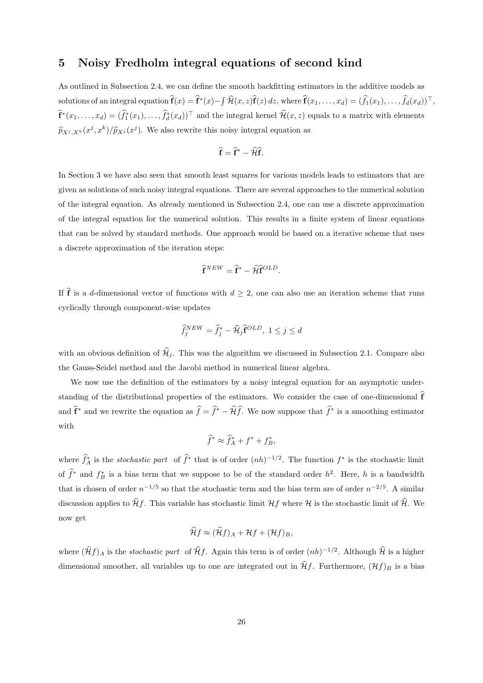# 5 Noisy Fredholm integral equations of second kind

As outlined in Subsection 2.4, we can define the smooth backfitting estimators in the additive models as solutions of an integral equation  $\hat{\mathbf{f}}(x) = \hat{\mathbf{f}}^*(x) - \int \hat{\mathcal{H}}(x, z)\hat{\mathbf{f}}(z) dz$ , where  $\hat{\mathbf{f}}(x_1, \dots, x_d) = (\hat{f}_1(x_1), \dots, \hat{f}_d(x_d))^{\top}$ ,  $\hat{\mathbf{f}}^*(x_1,\ldots,x_d)=(\hat{f}_1^*(x_1),\ldots,\hat{f}_d^*(x_d))^{\top}$  and the integral kernel  $\hat{\mathcal{H}}(x,z)$  equals to a matrix with elements  $\widehat{p}_{X^j, X^k}(x^j, x^k) / \widehat{p}_{X^j}(x^j)$ . We also rewrite this noisy integral equation as

$$
\widehat{\mathbf{f}} = \widehat{\mathbf{f}}^* - \widehat{\mathcal{H}}\widehat{\mathbf{f}}.
$$

In Section 3 we have also seen that smooth least squares for various models leads to estimators that are given as solutions of such noisy integral equations. There are several approaches to the numerical solution of the integral equation. As already mentioned in Subsection 2.4, one can use a discrete approximation of the integral equation for the numerical solution. This results in a finite system of linear equations that can be solved by standard methods. One approach would be based on a iterative scheme that uses a discrete approximation of the iteration steps:

$$
\widehat{\mathbf{f}}^{NEW} = \widehat{\mathbf{f}}^* - \widehat{\mathcal{H}} \widehat{\mathbf{f}}^{OLD}.
$$

If  $\hat{\mathbf{f}}$  is a d-dimensional vector of functions with  $d \geq 2$ , one can also use an iteration scheme that runs cyclically through component-wise updates

$$
\widehat{f}_j^{NEW} = \widehat{f}_j^* - \widehat{\mathcal{H}}_j \widehat{\mathbf{f}}^{OLD}, \ 1 \le j \le d
$$

with an obvious definition of  $\mathcal{H}_j$ . This was the algorithm we discussed in Subsection 2.1. Compare also the Gauss-Seidel method and the Jacobi method in numerical linear algebra.

We now use the definition of the estimators by a noisy integral equation for an asymptotic understanding of the distributional properties of the estimators. We consider the case of one-dimensional  $\hat{\mathbf{f}}$ and  $\hat{\mathbf{f}}^*$  and we rewrite the equation as  $\hat{f} = \hat{f}^* - \hat{\mathcal{H}}\hat{f}$ . We now suppose that  $\hat{f}^*$  is a smoothing estimator with

$$
\widehat{f}^* \approx \widehat{f}_A^* + f^* + f_B^*,
$$

where  $\hat{f}_A^*$  is the *stochastic part* of  $\hat{f}^*$  that is of order  $(nh)^{-1/2}$ . The function  $f^*$  is the stochastic limit of  $\hat{f}^*$  and  $f^*$  is a bias term that we suppose to be of the standard order  $h^2$ . Here, h is a bandwidth that is chosen of order  $n^{-1/5}$  so that the stochastic term and the bias term are of order  $n^{-2/5}$ . A similar discussion applies to  $\hat{H}f$ . This variable has stochastic limit  $Hf$  where H is the stochastic limit of  $\hat{\mathcal{H}}$ . We now get

$$
\widehat{\mathcal{H}}f \approx (\widehat{\mathcal{H}}f)_A + \mathcal{H}f + (\mathcal{H}f)_B,
$$

where  $(\hat{H}f)_A$  is the *stochastic part* of  $\hat{H}f$ . Again this term is of order  $(nh)^{-1/2}$ . Although  $\hat{H}$  is a higher dimensional smoother, all variables up to one are integrated out in  $\hat{\mathcal{H}}f$ . Furthermore,  $(\mathcal{H}f)_B$  is a bias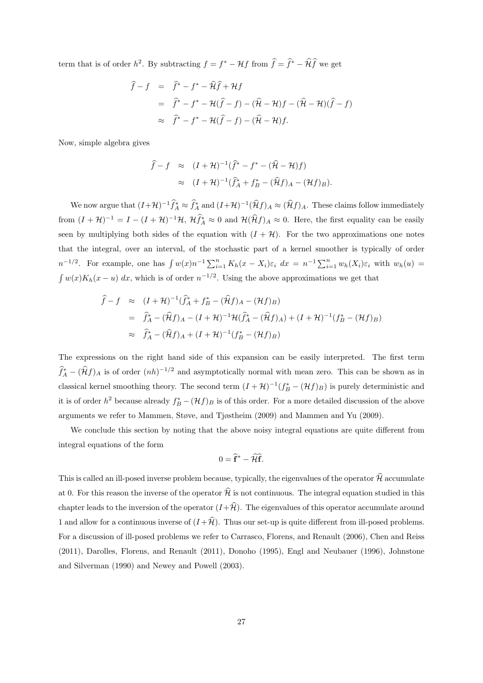term that is of order  $h^2$ . By subtracting  $f = f^* - \mathcal{H}f$  from  $\hat{f} = \hat{f}^* - \hat{\mathcal{H}}\hat{f}$  we get

$$
\hat{f} - f = \hat{f}^* - f^* - \hat{\mathcal{H}}\hat{f} + \mathcal{H}f
$$
  
= 
$$
\hat{f}^* - f^* - \mathcal{H}(\hat{f} - f) - (\hat{\mathcal{H}} - \mathcal{H})f - (\hat{\mathcal{H}} - \mathcal{H})(\hat{f} - f)
$$
  

$$
\approx \hat{f}^* - f^* - \mathcal{H}(\hat{f} - f) - (\hat{\mathcal{H}} - \mathcal{H})f.
$$

Now, simple algebra gives

$$
\widehat{f} - f \approx (I + \mathcal{H})^{-1} (\widehat{f}^* - f^* - (\widehat{\mathcal{H}} - \mathcal{H}) f)
$$
  
 
$$
\approx (I + \mathcal{H})^{-1} (\widehat{f}_A^* + f_B^* - (\widehat{\mathcal{H}}f)_A - (\mathcal{H}f)_B).
$$

We now argue that  $(I+\mathcal{H})^{-1}\hat{f}_A^* \approx \hat{f}_A^*$  and  $(I+\mathcal{H})^{-1}(\hat{\mathcal{H}}f)_A \approx (\hat{\mathcal{H}}f)_A$ . These claims follow immediately from  $(I + H)^{-1} = I - (I + H)^{-1}H$ ,  $H\hat{f}^*_A \approx 0$  and  $H(\hat{H}f)_A \approx 0$ . Here, the first equality can be easily seen by multiplying both sides of the equation with  $(I + H)$ . For the two approximations one notes that the integral, over an interval, of the stochastic part of a kernel smoother is typically of order  $n^{-1/2}$ . For example, one has  $\int w(x)n^{-1}\sum_{i=1}^n K_h(x-X_i)\varepsilon_i dx = n^{-1}\sum_{i=1}^n w_h(X_i)\varepsilon_i$  with  $w_h(u)$  $\int w(x)K_h(x-u) dx$ , which is of order  $n^{-1/2}$ . Using the above approximations we get that

$$
\hat{f} - f \approx (I + \mathcal{H})^{-1} (\hat{f}_A^* + f_B^* - (\hat{\mathcal{H}}f)_A - (\mathcal{H}f)_B)
$$
  
\n
$$
= \hat{f}_A^* - (\hat{\mathcal{H}}f)_A - (I + \mathcal{H})^{-1} \mathcal{H} (\hat{f}_A^* - (\hat{\mathcal{H}}f)_A) + (I + \mathcal{H})^{-1} (f_B^* - (\mathcal{H}f)_B)
$$
  
\n
$$
\approx \hat{f}_A^* - (\hat{\mathcal{H}}f)_A + (I + \mathcal{H})^{-1} (f_B^* - (\mathcal{H}f)_B)
$$

The expressions on the right hand side of this expansion can be easily interpreted. The first term  $\hat{f}_A^* - (\hat{\mathcal{H}}f)_A$  is of order  $(nh)^{-1/2}$  and asymptotically normal with mean zero. This can be shown as in classical kernel smoothing theory. The second term  $(I + H)^{-1}(f_B^* - (Hf)_B)$  is purely deterministic and it is of order  $h^2$  because already  $f_B^*(-(\mathcal{H}f)_B$  is of this order. For a more detailed discussion of the above arguments we refer to Mammen, Støve, and Tjøstheim (2009) and Mammen and Yu (2009).

We conclude this section by noting that the above noisy integral equations are quite different from integral equations of the form

$$
0=\widehat{\mathbf{f}}^*-\widehat{\mathcal{H}}\widehat{\mathbf{f}}.
$$

This is called an ill-posed inverse problem because, typically, the eigenvalues of the operator  $\hat{\mathcal{H}}$  accumulate at 0. For this reason the inverse of the operator  $\hat{\mathcal{H}}$  is not continuous. The integral equation studied in this chapter leads to the inversion of the operator  $(I+\hat{\mathcal{H}})$ . The eigenvalues of this operator accumulate around 1 and allow for a continuous inverse of  $(I + \hat{\mathcal{H}})$ . Thus our set-up is quite different from ill-posed problems. For a discussion of ill-posed problems we refer to Carrasco, Florens, and Renault (2006), Chen and Reiss (2011), Darolles, Florens, and Renault (2011), Donoho (1995), Engl and Neubauer (1996), Johnstone and Silverman (1990) and Newey and Powell (2003).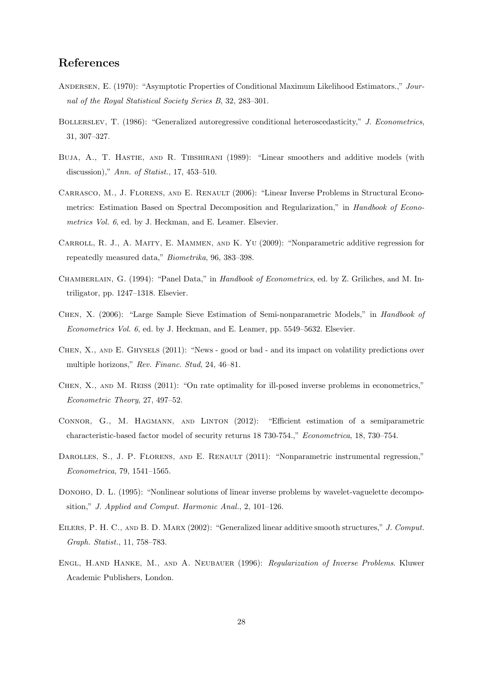# References

- Andersen, E. (1970): "Asymptotic Properties of Conditional Maximum Likelihood Estimators.," Journal of the Royal Statistical Society Series B, 32, 283–301.
- BOLLERSLEV, T. (1986): "Generalized autoregressive conditional heteroscedasticity," J. Econometrics, 31, 307–327.
- BUJA, A., T. HASTIE, AND R. TIBSHIRANI (1989): "Linear smoothers and additive models (with discussion)," Ann. of Statist., 17, 453–510.
- CARRASCO, M., J. FLORENS, AND E. RENAULT (2006): "Linear Inverse Problems in Structural Econometrics: Estimation Based on Spectral Decomposition and Regularization," in Handbook of Econometrics Vol. 6, ed. by J. Heckman, and E. Leamer. Elsevier.
- Carroll, R. J., A. Maity, E. Mammen, and K. Yu (2009): "Nonparametric additive regression for repeatedly measured data," Biometrika, 96, 383–398.
- Chamberlain, G. (1994): "Panel Data," in Handbook of Econometrics, ed. by Z. Griliches, and M. Intriligator, pp. 1247–1318. Elsevier.
- Chen, X. (2006): "Large Sample Sieve Estimation of Semi-nonparametric Models," in Handbook of Econometrics Vol. 6, ed. by J. Heckman, and E. Leamer, pp. 5549–5632. Elsevier.
- Chen, X., and E. Ghysels (2011): "News good or bad and its impact on volatility predictions over multiple horizons," Rev. Financ. Stud, 24, 46–81.
- CHEN, X., AND M. REISS (2011): "On rate optimality for ill-posed inverse problems in econometrics," Econometric Theory, 27, 497–52.
- CONNOR, G., M. HAGMANN, AND LINTON (2012): "Efficient estimation of a semiparametric characteristic-based factor model of security returns 18 730-754.," Econometrica, 18, 730–754.
- DAROLLES, S., J. P. FLORENS, AND E. RENAULT (2011): "Nonparametric instrumental regression," Econometrica, 79, 1541–1565.
- Donoho, D. L. (1995): "Nonlinear solutions of linear inverse problems by wavelet-vaguelette decomposition," J. Applied and Comput. Harmonic Anal., 2, 101–126.
- Eilers, P. H. C., and B. D. Marx (2002): "Generalized linear additive smooth structures," J. Comput. Graph. Statist., 11, 758–783.
- Engl, H.and Hanke, M., and A. Neubauer (1996): Regularization of Inverse Problems. Kluwer Academic Publishers, London.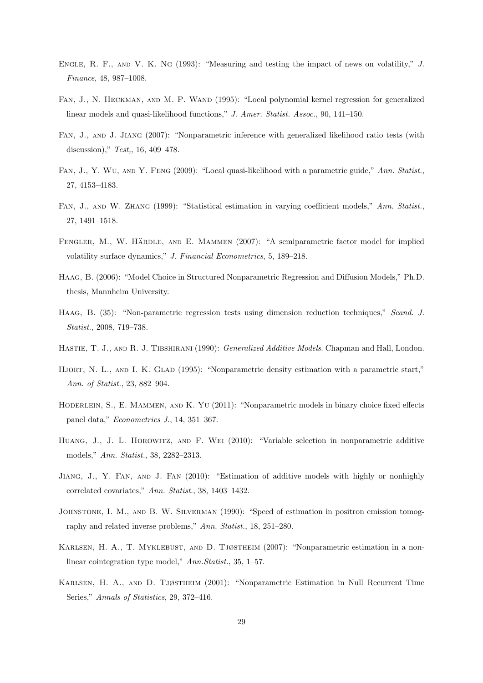- ENGLE, R. F., AND V. K. NG (1993): "Measuring and testing the impact of news on volatility," J. Finance, 48, 987–1008.
- FAN, J., N. HECKMAN, AND M. P. WAND (1995): "Local polynomial kernel regression for generalized linear models and quasi-likelihood functions," J. Amer. Statist. Assoc., 90, 141–150.
- Fan, J., and J. Jiang (2007): "Nonparametric inference with generalized likelihood ratio tests (with discussion)," Test,, 16, 409–478.
- Fan, J., Y. Wu, and Y. Feng (2009): "Local quasi-likelihood with a parametric guide," Ann. Statist., 27, 4153–4183.
- Fan, J., and W. Zhang (1999): "Statistical estimation in varying coefficient models," Ann. Statist., 27, 1491–1518.
- FENGLER, M., W. HÄRDLE, AND E. MAMMEN (2007): "A semiparametric factor model for implied volatility surface dynamics," J. Financial Econometrics, 5, 189–218.
- Haag, B. (2006): "Model Choice in Structured Nonparametric Regression and Diffusion Models," Ph.D. thesis, Mannheim University.
- Haag, B. (35): "Non-parametric regression tests using dimension reduction techniques," Scand. J. Statist., 2008, 719–738.
- HASTIE, T. J., AND R. J. TIBSHIRANI (1990): *Generalized Additive Models*. Chapman and Hall, London.
- HJORT, N. L., AND I. K. GLAD (1995): "Nonparametric density estimation with a parametric start," Ann. of Statist., 23, 882–904.
- HODERLEIN, S., E. MAMMEN, AND K. YU (2011): "Nonparametric models in binary choice fixed effects panel data," Econometrics J., 14, 351–367.
- HUANG, J., J. L. HOROWITZ, AND F. WEI (2010): "Variable selection in nonparametric additive models," Ann. Statist., 38, 2282–2313.
- Jiang, J., Y. Fan, and J. Fan (2010): "Estimation of additive models with highly or nonhighly correlated covariates," Ann. Statist., 38, 1403–1432.
- JOHNSTONE, I. M., AND B. W. SILVERMAN (1990): "Speed of estimation in positron emission tomography and related inverse problems," Ann. Statist., 18, 251–280.
- Karlsen, H. A., T. Myklebust, and D. Tjøstheim (2007): "Nonparametric estimation in a nonlinear cointegration type model," Ann. Statist., 35, 1–57.
- Karlsen, H. A., and D. Tjøstheim (2001): "Nonparametric Estimation in Null–Recurrent Time Series," Annals of Statistics, 29, 372-416.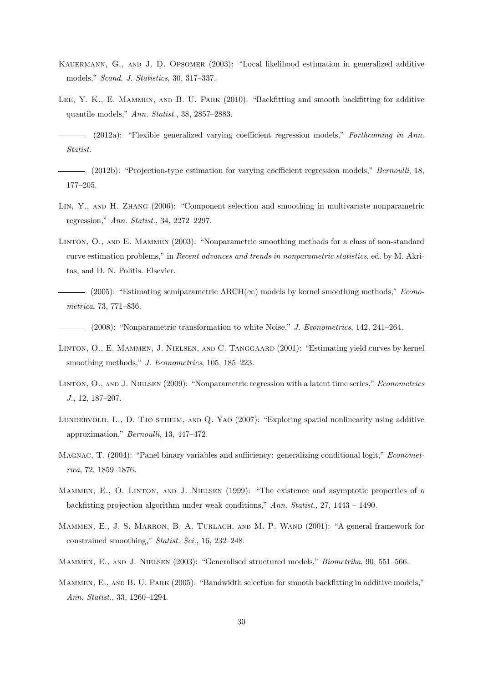- Kauermann, G., and J. D. Opsomer (2003): "Local likelihood estimation in generalized additive models," Scand. J. Statistics, 30, 317–337.
- LEE, Y. K., E. MAMMEN, AND B. U. PARK (2010): "Backfitting and smooth backfitting for additive quantile models," Ann. Statist., 38, 2857–2883.

 $-$  (2012a): "Flexible generalized varying coefficient regression models," Forthcoming in Ann. Statist.

- (2012b): "Projection-type estimation for varying coefficient regression models," *Bernoulli*, 18, 177–205.
- Lin, Y., and H. Zhang (2006): "Component selection and smoothing in multivariate nonparametric regression," Ann. Statist., 34, 2272–2297.
- Linton, O., and E. Mammen (2003): "Nonparametric smoothing methods for a class of non-standard curve estimation problems," in Recent advances and trends in nonparametric statistics, ed. by M. Akritas, and D. N. Politis. Elsevier.
- $-$  (2005): "Estimating semiparametric ARCH( $\infty$ ) models by kernel smoothing methods," *Econo*metrica, 73, 771–836.
- (2008): "Nonparametric transformation to white Noise," *J. Econometrics*, 142, 241–264.
- Linton, O., E. Mammen, J. Nielsen, and C. Tanggaard (2001): "Estimating yield curves by kernel smoothing methods," J. Econometrics, 105, 185–223.
- LINTON, O., AND J. NIELSEN (2009): "Nonparametric regression with a latent time series," *Econometrics* J., 12, 187–207.
- LUNDERVOLD, L., D. TJØ STHEIM, AND Q. YAO (2007): "Exploring spatial nonlinearity using additive approximation," Bernoulli, 13, 447–472.
- MAGNAC, T. (2004): "Panel binary variables and sufficiency: generalizing conditional logit," *Economet*rica, 72, 1859–1876.
- Mammen, E., O. Linton, and J. Nielsen (1999): "The existence and asymptotic properties of a backfitting projection algorithm under weak conditions," Ann. Statist., 27, 1443 – 1490.
- MAMMEN, E., J. S. MARRON, B. A. TURLACH, AND M. P. WAND (2001): "A general framework for constrained smoothing," Statist. Sci., 16, 232–248.
- Mammen, E., and J. Nielsen (2003): "Generalised structured models," Biometrika, 90, 551–566.
- MAMMEN, E., AND B. U. PARK (2005): "Bandwidth selection for smooth backfitting in additive models." Ann. Statist., 33, 1260–1294.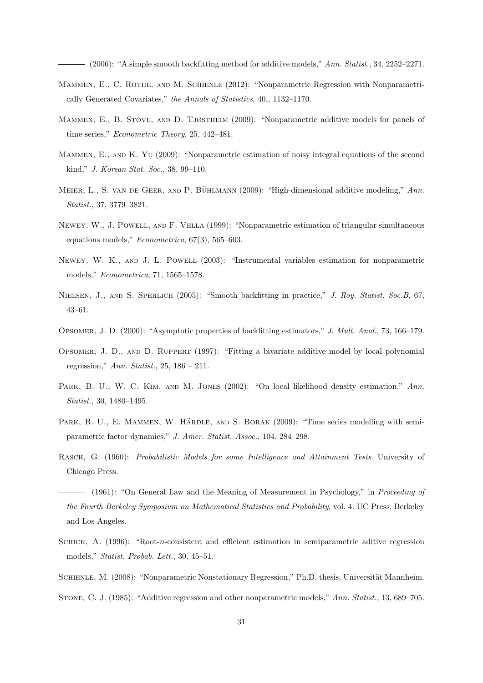$-$  (2006): "A simple smooth backfitting method for additive models," Ann. Statist., 34, 2252–2271.

- Mammen, E., C. Rothe, and M. Schienle (2012): "Nonparametric Regression with Nonparametrically Generated Covariates," the Annals of Statistics, 40,, 1132–1170.
- Mammen, E., B. Støve, and D. Tjøstheim (2009): "Nonparametric additive models for panels of time series," Econometric Theory, 25, 442–481.
- MAMMEN, E., AND K. YU (2009): "Nonparametric estimation of noisy integral equations of the second kind," J. Korean Stat. Soc., 38, 99–110.
- MEIER, L., S. VAN DE GEER, AND P. BÜHLMANN  $(2009)$ : "High-dimensional additive modeling," Ann. Statist., 37, 3779–3821.
- Newey, W., J. Powell, and F. Vella (1999): "Nonparametric estimation of triangular simultaneous equations models," Econometrica, 67(3), 565–603.
- Newey, W. K., and J. L. Powell (2003): "Instrumental variables estimation for nonparametric models," Econometrica, 71, 1565–1578.
- Nielsen, J., and S. Sperlich (2005): "Smooth backfitting in practice," J. Roy. Statist. Soc.B, 67, 43–61.
- Opsomer, J. D. (2000): "Asymptotic properties of backfitting estimators," J. Mult. Anal., 73, 166–179.
- Opsomer, J. D., and D. Ruppert (1997): "Fitting a bivariate additive model by local polynomial regression," Ann. Statist.,  $25, 186 - 211$ .
- PARK, B. U., W. C. KIM, AND M. JONES (2002): "On local likelihood density estimation," Ann. Statist., 30, 1480–1495.
- PARK, B. U., E. MAMMEN, W. HÄRDLE, AND S. BORAK (2009): "Time series modelling with semiparametric factor dynamics," J. Amer. Statist. Assoc., 104, 284–298.
- RASCH, G. (1960): Probabilistic Models for some Intelligence and Attainment Tests. University of Chicago Press.
- (1961): "On General Law and the Meaning of Measurement in Psychology," in Proceeding of the Fourth Berkeley Symposium on Mathematical Statistics and Probability, vol. 4. UC Press, Berkeley and Los Angeles.
- SCHICK, A. (1996): "Root-n-consistent and efficient estimation in semiparametric aditive regression models," Statist. Probab. Lett., 30, 45–51.
- SCHIENLE, M. (2008): "Nonparametric Nonstationary Regression," Ph.D. thesis, Universität Mannheim.
- Stone, C. J. (1985): "Additive regression and other nonparametric models," Ann. Statist., 13, 689–705.